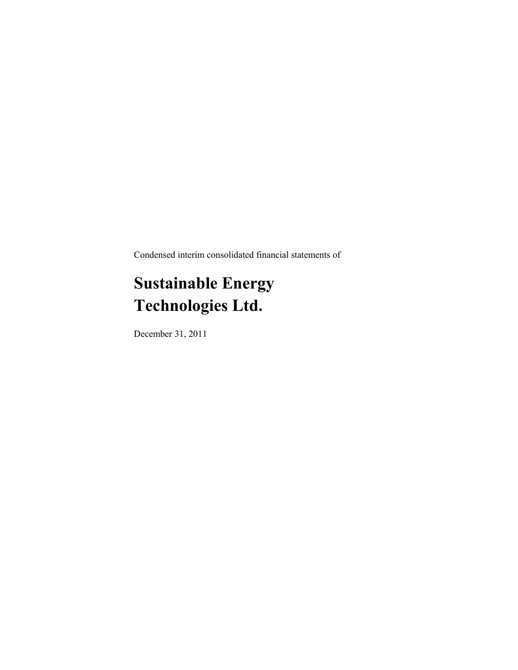Condensed interim consolidated financial statements of

# **Sustainable Energy Technologies Ltd.**

December 31, 2011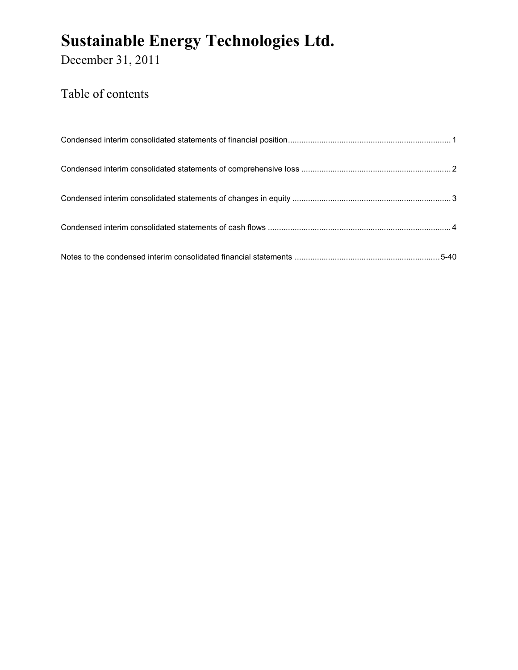December 31, 2011

### Table of contents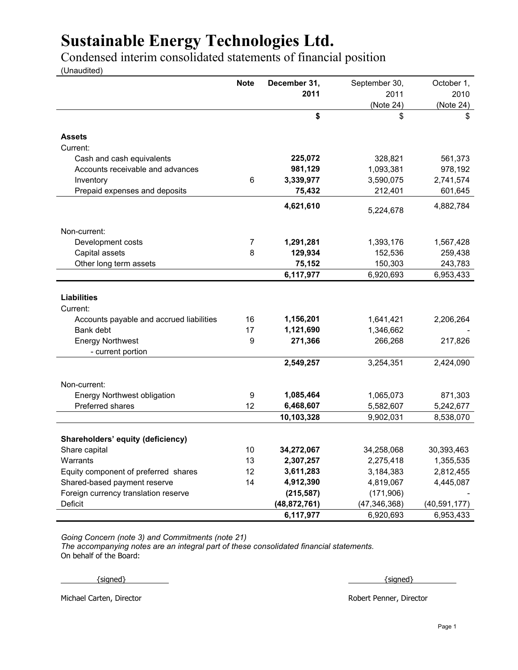Condensed interim consolidated statements of financial position

(Unaudited)

|                                          | <b>Note</b> | December 31,   | September 30,  | October 1,     |
|------------------------------------------|-------------|----------------|----------------|----------------|
|                                          |             | 2011           | 2011           | 2010           |
|                                          |             |                | (Note 24)      | (Note 24)      |
|                                          |             | \$             | \$             | \$             |
| <b>Assets</b>                            |             |                |                |                |
| Current:                                 |             |                |                |                |
| Cash and cash equivalents                |             | 225,072        | 328,821        | 561,373        |
| Accounts receivable and advances         |             | 981,129        | 1,093,381      | 978,192        |
| Inventory                                | 6           | 3,339,977      | 3,590,075      | 2,741,574      |
| Prepaid expenses and deposits            |             | 75,432         | 212,401        | 601,645        |
|                                          |             | 4,621,610      | 5,224,678      | 4,882,784      |
| Non-current:                             |             |                |                |                |
| Development costs                        | 7           | 1,291,281      | 1,393,176      | 1,567,428      |
| Capital assets                           | 8           | 129,934        | 152,536        | 259,438        |
| Other long term assets                   |             | 75,152         | 150,303        | 243,783        |
|                                          |             | 6,117,977      | 6,920,693      | 6,953,433      |
|                                          |             |                |                |                |
| <b>Liabilities</b>                       |             |                |                |                |
| Current:                                 |             |                |                |                |
| Accounts payable and accrued liabilities | 16          | 1,156,201      | 1,641,421      | 2,206,264      |
| Bank debt                                | 17          | 1,121,690      | 1,346,662      |                |
| <b>Energy Northwest</b>                  | 9           | 271,366        | 266,268        | 217,826        |
| - current portion                        |             |                |                |                |
|                                          |             | 2,549,257      | 3,254,351      | 2,424,090      |
| Non-current:                             |             |                |                |                |
| <b>Energy Northwest obligation</b>       | 9           | 1,085,464      | 1,065,073      | 871,303        |
| Preferred shares                         | 12          | 6,468,607      | 5,582,607      | 5,242,677      |
|                                          |             | 10,103,328     | 9,902,031      | 8,538,070      |
|                                          |             |                |                |                |
| Shareholders' equity (deficiency)        |             |                |                |                |
| Share capital                            | 10          | 34,272,067     | 34,258,068     | 30,393,463     |
| Warrants                                 | 13          | 2,307,257      | 2,275,418      | 1,355,535      |
| Equity component of preferred shares     | 12          | 3,611,283      | 3,184,383      | 2,812,455      |
| Shared-based payment reserve             | 14          | 4,912,390      | 4,819,067      | 4,445,087      |
| Foreign currency translation reserve     |             | (215, 587)     | (171,906)      |                |
| Deficit                                  |             | (48, 872, 761) | (47, 346, 368) | (40, 591, 177) |
|                                          |             | 6,117,977      | 6,920,693      | 6,953,433      |

*Going Concern (note 3) and Commitments (note 21)*

*The accompanying notes are an integral part of these consolidated financial statements.* On behalf of the Board:

 $\{{\rm signed}\}$   $\}$ 

Michael Carten, Director Robert Penner, Director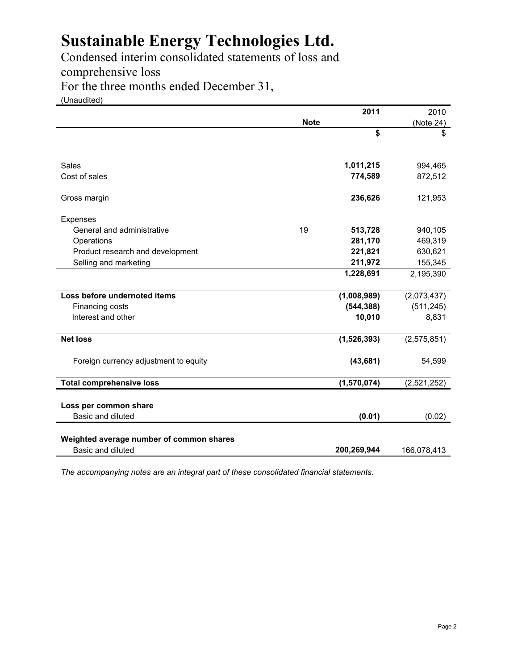Condensed interim consolidated statements of loss and comprehensive loss

For the three months ended December 31,

(Unaudited)

|                                          |             | 2011        | 2010        |
|------------------------------------------|-------------|-------------|-------------|
|                                          | <b>Note</b> |             | (Note 24)   |
|                                          |             | \$          | \$          |
| Sales                                    |             | 1,011,215   | 994,465     |
| Cost of sales                            |             | 774,589     | 872,512     |
| Gross margin                             |             | 236,626     | 121,953     |
| Expenses                                 |             |             |             |
| General and administrative               | 19          | 513,728     | 940,105     |
| Operations                               |             | 281,170     | 469,319     |
| Product research and development         |             | 221,821     | 630,621     |
| Selling and marketing                    |             | 211,972     | 155,345     |
|                                          |             | 1,228,691   | 2,195,390   |
| Loss before undernoted items             |             | (1,008,989) | (2,073,437) |
| Financing costs                          |             | (544, 388)  | (511, 245)  |
| Interest and other                       |             | 10,010      | 8,831       |
| <b>Net loss</b>                          |             | (1,526,393) | (2,575,851) |
| Foreign currency adjustment to equity    |             | (43, 681)   | 54,599      |
| <b>Total comprehensive loss</b>          |             | (1,570,074) | (2,521,252) |
| Loss per common share                    |             |             |             |
| Basic and diluted                        |             | (0.01)      | (0.02)      |
| Weighted average number of common shares |             |             |             |
| Basic and diluted                        |             | 200,269,944 | 166,078,413 |

*The accompanying notes are an integral part of these consolidated financial statements.*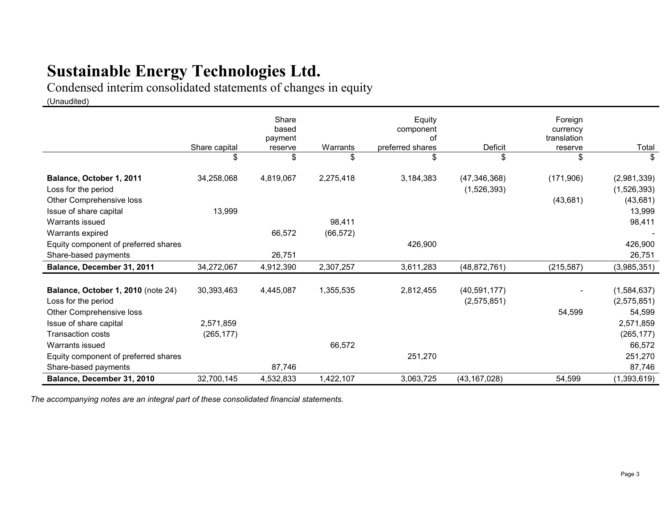Condensed interim consolidated statements of changes in equity

(Unaudited)

|                                                 | Share capital<br>\$ | Share<br>based<br>payment<br>reserve<br>\$ | Warrants<br>\$ | Equity<br>component<br>of<br>preferred shares<br>\$ | <b>Deficit</b><br>\$          | Foreign<br>currency<br>translation<br>reserve<br>\$ | Total<br>\$                |
|-------------------------------------------------|---------------------|--------------------------------------------|----------------|-----------------------------------------------------|-------------------------------|-----------------------------------------------------|----------------------------|
| Balance, October 1, 2011<br>Loss for the period | 34,258,068          | 4,819,067                                  | 2,275,418      | 3,184,383                                           | (47, 346, 368)<br>(1,526,393) | (171,906)                                           | (2,981,339)<br>(1,526,393) |
| Other Comprehensive loss                        |                     |                                            |                |                                                     |                               | (43, 681)                                           | (43, 681)                  |
| Issue of share capital                          | 13,999              |                                            |                |                                                     |                               |                                                     | 13,999                     |
| Warrants issued                                 |                     |                                            | 98,411         |                                                     |                               |                                                     | 98,411                     |
| Warrants expired                                |                     | 66,572                                     | (66, 572)      |                                                     |                               |                                                     |                            |
| Equity component of preferred shares            |                     |                                            |                | 426,900                                             |                               |                                                     | 426,900                    |
| Share-based payments                            |                     | 26,751                                     |                |                                                     |                               |                                                     | 26,751                     |
| Balance, December 31, 2011                      | 34,272,067          | 4,912,390                                  | 2,307,257      | 3,611,283                                           | (48, 872, 761)                | (215, 587)                                          | (3,985,351)                |
| Balance, October 1, 2010 (note 24)              | 30,393,463          | 4,445,087                                  | 1,355,535      | 2,812,455                                           | (40, 591, 177)                |                                                     | (1,584,637)                |
| Loss for the period                             |                     |                                            |                |                                                     | (2,575,851)                   |                                                     | (2,575,851)                |
| Other Comprehensive loss                        |                     |                                            |                |                                                     |                               | 54.599                                              | 54,599                     |
| Issue of share capital                          | 2,571,859           |                                            |                |                                                     |                               |                                                     | 2,571,859                  |
| <b>Transaction costs</b>                        | (265, 177)          |                                            |                |                                                     |                               |                                                     | (265, 177)                 |
| Warrants issued                                 |                     |                                            | 66,572         |                                                     |                               |                                                     | 66,572                     |
| Equity component of preferred shares            |                     |                                            |                | 251,270                                             |                               |                                                     | 251,270                    |
| Share-based payments                            |                     | 87,746                                     |                |                                                     |                               |                                                     | 87,746                     |
| Balance, December 31, 2010                      | 32,700,145          | 4,532,833                                  | 1,422,107      | 3,063,725                                           | (43, 167, 028)                | 54,599                                              | (1,393,619)                |

*The accompanying notes are an integral part of these consolidated financial statements.*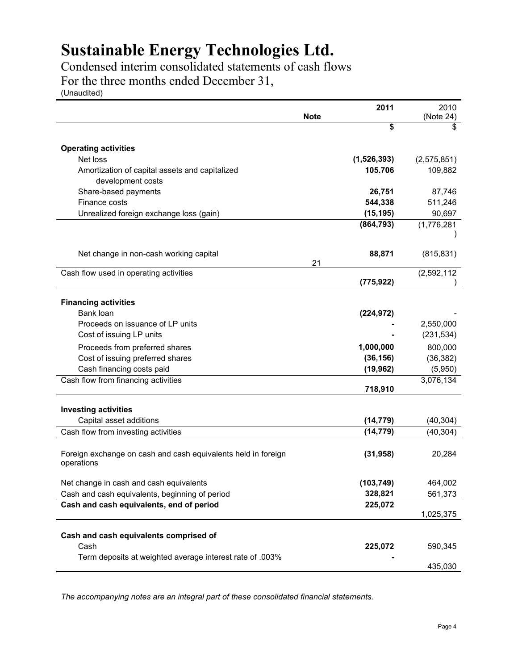Condensed interim consolidated statements of cash flows For the three months ended December 31,

(Unaudited)

|                                                               |             | 2011        | 2010        |
|---------------------------------------------------------------|-------------|-------------|-------------|
|                                                               | <b>Note</b> |             | (Note 24)   |
|                                                               |             | \$          | \$          |
|                                                               |             |             |             |
| <b>Operating activities</b>                                   |             |             |             |
| Net loss                                                      |             | (1,526,393) | (2,575,851) |
| Amortization of capital assets and capitalized                |             | 105.706     | 109,882     |
| development costs                                             |             |             |             |
| Share-based payments                                          |             | 26,751      | 87,746      |
| Finance costs                                                 |             | 544,338     | 511,246     |
| Unrealized foreign exchange loss (gain)                       |             | (15, 195)   | 90,697      |
|                                                               |             | (864, 793)  | (1,776,281) |
|                                                               |             |             |             |
|                                                               |             |             |             |
| Net change in non-cash working capital                        |             | 88,871      | (815, 831)  |
| Cash flow used in operating activities                        | 21          |             | (2,592,112) |
|                                                               |             | (775,922)   |             |
|                                                               |             |             |             |
| <b>Financing activities</b>                                   |             |             |             |
| Bank loan                                                     |             | (224, 972)  |             |
| Proceeds on issuance of LP units                              |             |             | 2,550,000   |
| Cost of issuing LP units                                      |             |             | (231, 534)  |
| Proceeds from preferred shares                                |             | 1,000,000   | 800,000     |
| Cost of issuing preferred shares                              |             | (36, 156)   | (36, 382)   |
| Cash financing costs paid                                     |             | (19, 962)   | (5,950)     |
|                                                               |             |             | 3,076,134   |
| Cash flow from financing activities                           |             | 718,910     |             |
|                                                               |             |             |             |
| <b>Investing activities</b>                                   |             |             |             |
| Capital asset additions                                       |             | (14, 779)   | (40, 304)   |
| Cash flow from investing activities                           |             | (14, 779)   | (40, 304)   |
|                                                               |             |             |             |
| Foreign exchange on cash and cash equivalents held in foreign |             | (31, 958)   | 20,284      |
| operations                                                    |             |             |             |
|                                                               |             |             |             |
| Net change in cash and cash equivalents                       |             | (103, 749)  | 464,002     |
| Cash and cash equivalents, beginning of period                |             | 328,821     | 561,373     |
| Cash and cash equivalents, end of period                      |             | 225,072     |             |
|                                                               |             |             | 1,025,375   |
|                                                               |             |             |             |
| Cash and cash equivalents comprised of                        |             |             |             |
| Cash                                                          |             | 225,072     | 590,345     |
| Term deposits at weighted average interest rate of .003%      |             |             |             |
|                                                               |             |             | 435,030     |

*The accompanying notes are an integral part of these consolidated financial statements.*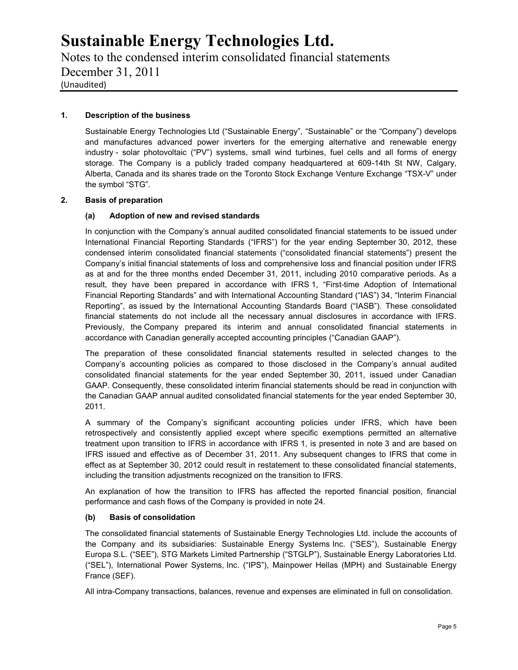Notes to the condensed interim consolidated financial statements December 31, 2011 (Unaudited)

### **1. Description of the business**

Sustainable Energy Technologies Ltd ("Sustainable Energy", "Sustainable" or the "Company") develops and manufactures advanced power inverters for the emerging alternative and renewable energy industry - solar photovoltaic ("PV") systems, small wind turbines, fuel cells and all forms of energy storage. The Company is a publicly traded company headquartered at 609-14th St NW, Calgary, Alberta, Canada and its shares trade on the Toronto Stock Exchange Venture Exchange "TSX-V" under the symbol "STG".

### **2. Basis of preparation**

### **(a) Adoption of new and revised standards**

In conjunction with the Company's annual audited consolidated financial statements to be issued under International Financial Reporting Standards ("IFRS") for the year ending September 30, 2012, these condensed interim consolidated financial statements ("consolidated financial statements") present the Company's initial financial statements of loss and comprehensive loss and financial position under IFRS as at and for the three months ended December 31, 2011, including 2010 comparative periods. As a result, they have been prepared in accordance with IFRS 1, "First-time Adoption of International Financial Reporting Standards" and with International Accounting Standard ("IAS") 34, "Interim Financial Reporting", as issued by the International Accounting Standards Board ("IASB"). These consolidated financial statements do not include all the necessary annual disclosures in accordance with IFRS. Previously, the Company prepared its interim and annual consolidated financial statements in accordance with Canadian generally accepted accounting principles ("Canadian GAAP").

The preparation of these consolidated financial statements resulted in selected changes to the Company's accounting policies as compared to those disclosed in the Company's annual audited consolidated financial statements for the year ended September 30, 2011, issued under Canadian GAAP. Consequently, these consolidated interim financial statements should be read in conjunction with the Canadian GAAP annual audited consolidated financial statements for the year ended September 30, 2011.

A summary of the Company's significant accounting policies under IFRS, which have been retrospectively and consistently applied except where specific exemptions permitted an alternative treatment upon transition to IFRS in accordance with IFRS 1, is presented in note 3 and are based on IFRS issued and effective as of December 31, 2011. Any subsequent changes to IFRS that come in effect as at September 30, 2012 could result in restatement to these consolidated financial statements, including the transition adjustments recognized on the transition to IFRS.

An explanation of how the transition to IFRS has affected the reported financial position, financial performance and cash flows of the Company is provided in note 24.

### **(b) Basis of consolidation**

The consolidated financial statements of Sustainable Energy Technologies Ltd. include the accounts of the Company and its subsidiaries: Sustainable Energy Systems Inc. ("SES"), Sustainable Energy Europa S.L. ("SEE"), STG Markets Limited Partnership ("STGLP"), Sustainable Energy Laboratories Ltd. ("SEL"), International Power Systems, Inc. ("IPS"), Mainpower Hellas (MPH) and Sustainable Energy France (SEF).

All intra-Company transactions, balances, revenue and expenses are eliminated in full on consolidation.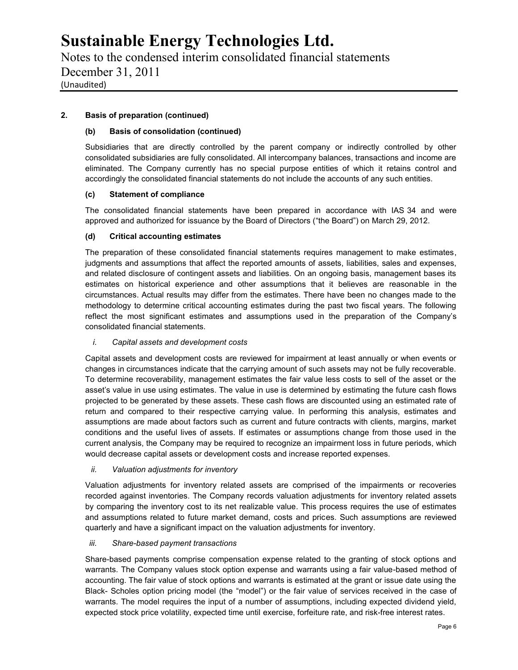Notes to the condensed interim consolidated financial statements December 31, 2011 (Unaudited)

### **2. Basis of preparation (continued)**

### **(b) Basis of consolidation (continued)**

Subsidiaries that are directly controlled by the parent company or indirectly controlled by other consolidated subsidiaries are fully consolidated. All intercompany balances, transactions and income are eliminated. The Company currently has no special purpose entities of which it retains control and accordingly the consolidated financial statements do not include the accounts of any such entities.

### **(c) Statement of compliance**

The consolidated financial statements have been prepared in accordance with IAS 34 and were approved and authorized for issuance by the Board of Directors ("the Board") on March 29, 2012.

### **(d) Critical accounting estimates**

The preparation of these consolidated financial statements requires management to make estimates, judgments and assumptions that affect the reported amounts of assets, liabilities, sales and expenses, and related disclosure of contingent assets and liabilities. On an ongoing basis, management bases its estimates on historical experience and other assumptions that it believes are reasonable in the circumstances. Actual results may differ from the estimates. There have been no changes made to the methodology to determine critical accounting estimates during the past two fiscal years. The following reflect the most significant estimates and assumptions used in the preparation of the Company's consolidated financial statements.

### *i. Capital assets and development costs*

Capital assets and development costs are reviewed for impairment at least annually or when events or changes in circumstances indicate that the carrying amount of such assets may not be fully recoverable. To determine recoverability, management estimates the fair value less costs to sell of the asset or the asset's value in use using estimates. The value in use is determined by estimating the future cash flows projected to be generated by these assets. These cash flows are discounted using an estimated rate of return and compared to their respective carrying value. In performing this analysis, estimates and assumptions are made about factors such as current and future contracts with clients, margins, market conditions and the useful lives of assets. If estimates or assumptions change from those used in the current analysis, the Company may be required to recognize an impairment loss in future periods, which would decrease capital assets or development costs and increase reported expenses.

### *ii. Valuation adjustments for inventory*

Valuation adjustments for inventory related assets are comprised of the impairments or recoveries recorded against inventories. The Company records valuation adjustments for inventory related assets by comparing the inventory cost to its net realizable value. This process requires the use of estimates and assumptions related to future market demand, costs and prices. Such assumptions are reviewed quarterly and have a significant impact on the valuation adjustments for inventory.

### *iii. Share-based payment transactions*

Share-based payments comprise compensation expense related to the granting of stock options and warrants. The Company values stock option expense and warrants using a fair value-based method of accounting. The fair value of stock options and warrants is estimated at the grant or issue date using the Black- Scholes option pricing model (the "model") or the fair value of services received in the case of warrants. The model requires the input of a number of assumptions, including expected dividend yield, expected stock price volatility, expected time until exercise, forfeiture rate, and risk-free interest rates.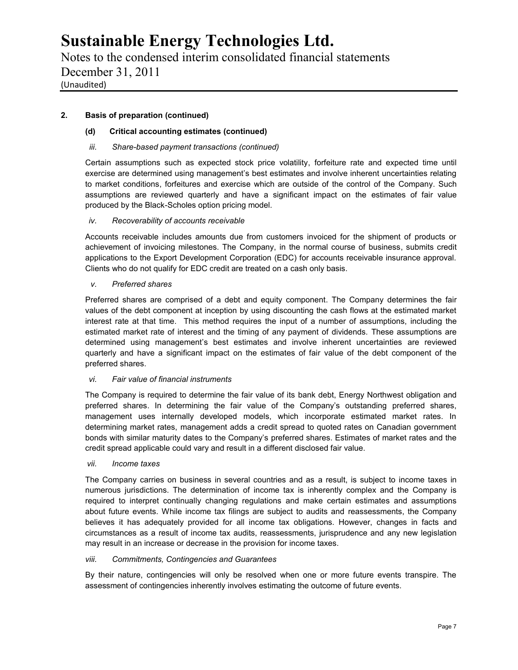Notes to the condensed interim consolidated financial statements December 31, 2011 (Unaudited)

### **2. Basis of preparation (continued)**

### **(d) Critical accounting estimates (continued)**

### *iii. Share-based payment transactions (continued)*

Certain assumptions such as expected stock price volatility, forfeiture rate and expected time until exercise are determined using management's best estimates and involve inherent uncertainties relating to market conditions, forfeitures and exercise which are outside of the control of the Company. Such assumptions are reviewed quarterly and have a significant impact on the estimates of fair value produced by the Black-Scholes option pricing model.

### *iv. Recoverability of accounts receivable*

Accounts receivable includes amounts due from customers invoiced for the shipment of products or achievement of invoicing milestones. The Company, in the normal course of business, submits credit applications to the Export Development Corporation (EDC) for accounts receivable insurance approval. Clients who do not qualify for EDC credit are treated on a cash only basis.

### *v. Preferred shares*

Preferred shares are comprised of a debt and equity component. The Company determines the fair values of the debt component at inception by using discounting the cash flows at the estimated market interest rate at that time. This method requires the input of a number of assumptions, including the estimated market rate of interest and the timing of any payment of dividends. These assumptions are determined using management's best estimates and involve inherent uncertainties are reviewed quarterly and have a significant impact on the estimates of fair value of the debt component of the preferred shares.

### *vi. Fair value of financial instruments*

The Company is required to determine the fair value of its bank debt, Energy Northwest obligation and preferred shares. In determining the fair value of the Company's outstanding preferred shares, management uses internally developed models, which incorporate estimated market rates. In determining market rates, management adds a credit spread to quoted rates on Canadian government bonds with similar maturity dates to the Company's preferred shares. Estimates of market rates and the credit spread applicable could vary and result in a different disclosed fair value.

### *vii. Income taxes*

The Company carries on business in several countries and as a result, is subject to income taxes in numerous jurisdictions. The determination of income tax is inherently complex and the Company is required to interpret continually changing regulations and make certain estimates and assumptions about future events. While income tax filings are subject to audits and reassessments, the Company believes it has adequately provided for all income tax obligations. However, changes in facts and circumstances as a result of income tax audits, reassessments, jurisprudence and any new legislation may result in an increase or decrease in the provision for income taxes.

### *viii. Commitments, Contingencies and Guarantees*

By their nature, contingencies will only be resolved when one or more future events transpire. The assessment of contingencies inherently involves estimating the outcome of future events.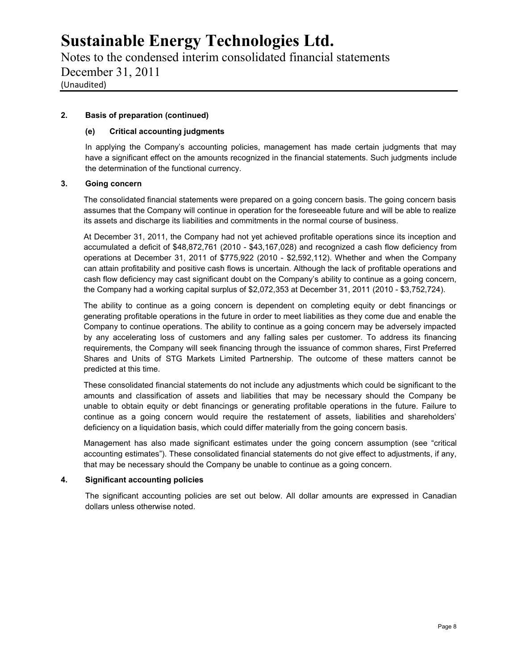Notes to the condensed interim consolidated financial statements December 31, 2011 (Unaudited)

### **2. Basis of preparation (continued)**

### **(e) Critical accounting judgments**

In applying the Company's accounting policies, management has made certain judgments that may have a significant effect on the amounts recognized in the financial statements. Such judgments include the determination of the functional currency.

### **3. Going concern**

The consolidated financial statements were prepared on a going concern basis. The going concern basis assumes that the Company will continue in operation for the foreseeable future and will be able to realize its assets and discharge its liabilities and commitments in the normal course of business.

At December 31, 2011, the Company had not yet achieved profitable operations since its inception and accumulated a deficit of \$48,872,761 (2010 - \$43,167,028) and recognized a cash flow deficiency from operations at December 31, 2011 of \$775,922 (2010 - \$2,592,112). Whether and when the Company can attain profitability and positive cash flows is uncertain. Although the lack of profitable operations and cash flow deficiency may cast significant doubt on the Company's ability to continue as a going concern, the Company had a working capital surplus of \$2,072,353 at December 31, 2011 (2010 - \$3,752,724).

The ability to continue as a going concern is dependent on completing equity or debt financings or generating profitable operations in the future in order to meet liabilities as they come due and enable the Company to continue operations. The ability to continue as a going concern may be adversely impacted by any accelerating loss of customers and any falling sales per customer. To address its financing requirements, the Company will seek financing through the issuance of common shares, First Preferred Shares and Units of STG Markets Limited Partnership. The outcome of these matters cannot be predicted at this time.

These consolidated financial statements do not include any adjustments which could be significant to the amounts and classification of assets and liabilities that may be necessary should the Company be unable to obtain equity or debt financings or generating profitable operations in the future. Failure to continue as a going concern would require the restatement of assets, liabilities and shareholders' deficiency on a liquidation basis, which could differ materially from the going concern basis.

Management has also made significant estimates under the going concern assumption (see "critical accounting estimates"). These consolidated financial statements do not give effect to adjustments, if any, that may be necessary should the Company be unable to continue as a going concern.

#### **4. Significant accounting policies**

The significant accounting policies are set out below. All dollar amounts are expressed in Canadian dollars unless otherwise noted.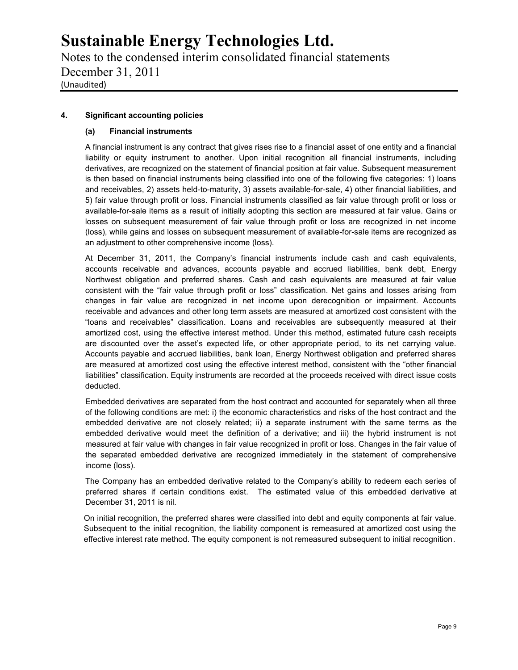Notes to the condensed interim consolidated financial statements December 31, 2011 (Unaudited)

### **4. Significant accounting policies**

### **(a) Financial instruments**

A financial instrument is any contract that gives rises rise to a financial asset of one entity and a financial liability or equity instrument to another. Upon initial recognition all financial instruments, including derivatives, are recognized on the statement of financial position at fair value. Subsequent measurement is then based on financial instruments being classified into one of the following five categories: 1) loans and receivables, 2) assets held-to-maturity, 3) assets available-for-sale, 4) other financial liabilities, and 5) fair value through profit or loss. Financial instruments classified as fair value through profit or loss or available-for-sale items as a result of initially adopting this section are measured at fair value. Gains or losses on subsequent measurement of fair value through profit or loss are recognized in net income (loss), while gains and losses on subsequent measurement of available-for-sale items are recognized as an adjustment to other comprehensive income (loss).

At December 31, 2011, the Company's financial instruments include cash and cash equivalents, accounts receivable and advances, accounts payable and accrued liabilities, bank debt, Energy Northwest obligation and preferred shares. Cash and cash equivalents are measured at fair value consistent with the "fair value through profit or loss" classification. Net gains and losses arising from changes in fair value are recognized in net income upon derecognition or impairment. Accounts receivable and advances and other long term assets are measured at amortized cost consistent with the "loans and receivables" classification. Loans and receivables are subsequently measured at their amortized cost, using the effective interest method. Under this method, estimated future cash receipts are discounted over the asset's expected life, or other appropriate period, to its net carrying value. Accounts payable and accrued liabilities, bank loan, Energy Northwest obligation and preferred shares are measured at amortized cost using the effective interest method, consistent with the "other financial liabilities" classification. Equity instruments are recorded at the proceeds received with direct issue costs deducted.

Embedded derivatives are separated from the host contract and accounted for separately when all three of the following conditions are met: i) the economic characteristics and risks of the host contract and the embedded derivative are not closely related; ii) a separate instrument with the same terms as the embedded derivative would meet the definition of a derivative; and iii) the hybrid instrument is not measured at fair value with changes in fair value recognized in profit or loss. Changes in the fair value of the separated embedded derivative are recognized immediately in the statement of comprehensive income (loss).

The Company has an embedded derivative related to the Company's ability to redeem each series of preferred shares if certain conditions exist. The estimated value of this embedded derivative at December 31, 2011 is nil.

On initial recognition, the preferred shares were classified into debt and equity components at fair value. Subsequent to the initial recognition, the liability component is remeasured at amortized cost using the effective interest rate method. The equity component is not remeasured subsequent to initial recognition.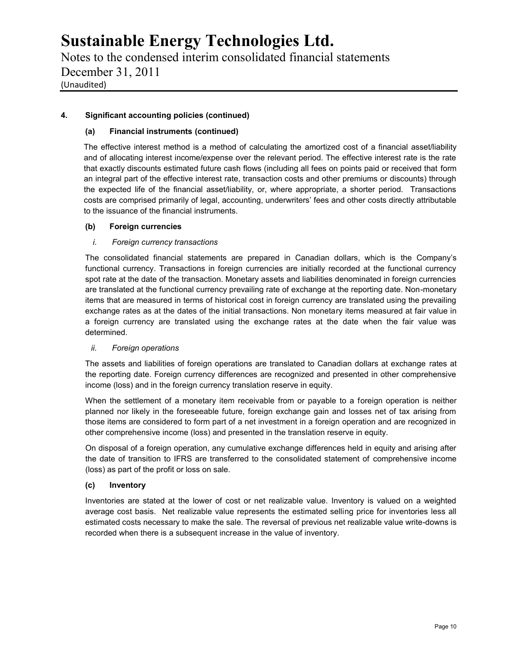Notes to the condensed interim consolidated financial statements December 31, 2011 (Unaudited)

### **4. Significant accounting policies (continued)**

### **(a) Financial instruments (continued)**

The effective interest method is a method of calculating the amortized cost of a financial asset/liability and of allocating interest income/expense over the relevant period. The effective interest rate is the rate that exactly discounts estimated future cash flows (including all fees on points paid or received that form an integral part of the effective interest rate, transaction costs and other premiums or discounts) through the expected life of the financial asset/liability, or, where appropriate, a shorter period. Transactions costs are comprised primarily of legal, accounting, underwriters' fees and other costs directly attributable to the issuance of the financial instruments.

### **(b) Foreign currencies**

### *i. Foreign currency transactions*

The consolidated financial statements are prepared in Canadian dollars, which is the Company's functional currency. Transactions in foreign currencies are initially recorded at the functional currency spot rate at the date of the transaction. Monetary assets and liabilities denominated in foreign currencies are translated at the functional currency prevailing rate of exchange at the reporting date. Non-monetary items that are measured in terms of historical cost in foreign currency are translated using the prevailing exchange rates as at the dates of the initial transactions. Non monetary items measured at fair value in a foreign currency are translated using the exchange rates at the date when the fair value was determined.

### *ii. Foreign operations*

The assets and liabilities of foreign operations are translated to Canadian dollars at exchange rates at the reporting date. Foreign currency differences are recognized and presented in other comprehensive income (loss) and in the foreign currency translation reserve in equity.

When the settlement of a monetary item receivable from or payable to a foreign operation is neither planned nor likely in the foreseeable future, foreign exchange gain and losses net of tax arising from those items are considered to form part of a net investment in a foreign operation and are recognized in other comprehensive income (loss) and presented in the translation reserve in equity.

On disposal of a foreign operation, any cumulative exchange differences held in equity and arising after the date of transition to IFRS are transferred to the consolidated statement of comprehensive income (loss) as part of the profit or loss on sale.

### **(c) Inventory**

Inventories are stated at the lower of cost or net realizable value. Inventory is valued on a weighted average cost basis. Net realizable value represents the estimated selling price for inventories less all estimated costs necessary to make the sale. The reversal of previous net realizable value write-downs is recorded when there is a subsequent increase in the value of inventory.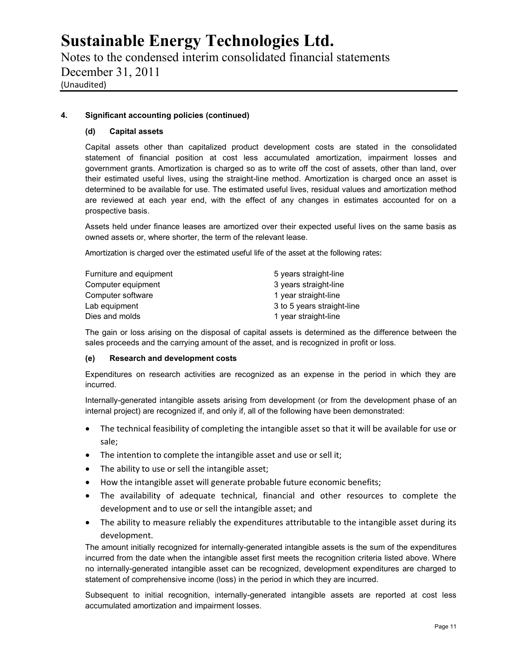Notes to the condensed interim consolidated financial statements December 31, 2011 (Unaudited)

### **4. Significant accounting policies (continued)**

### **(d) Capital assets**

Capital assets other than capitalized product development costs are stated in the consolidated statement of financial position at cost less accumulated amortization, impairment losses and government grants. Amortization is charged so as to write off the cost of assets, other than land, over their estimated useful lives, using the straight-line method. Amortization is charged once an asset is determined to be available for use. The estimated useful lives, residual values and amortization method are reviewed at each year end, with the effect of any changes in estimates accounted for on a prospective basis.

Assets held under finance leases are amortized over their expected useful lives on the same basis as owned assets or, where shorter, the term of the relevant lease.

Amortization is charged over the estimated useful life of the asset at the following rates:

| Furniture and equipment | 5 years straight-line      |
|-------------------------|----------------------------|
| Computer equipment      | 3 years straight-line      |
| Computer software       | 1 year straight-line       |
| Lab equipment           | 3 to 5 years straight-line |
| Dies and molds          | 1 year straight-line       |

The gain or loss arising on the disposal of capital assets is determined as the difference between the sales proceeds and the carrying amount of the asset, and is recognized in profit or loss.

### **(e) Research and development costs**

Expenditures on research activities are recognized as an expense in the period in which they are incurred.

Internally-generated intangible assets arising from development (or from the development phase of an internal project) are recognized if, and only if, all of the following have been demonstrated:

- The technical feasibility of completing the intangible asset so that it will be available for use or sale;
- The intention to complete the intangible asset and use or sell it;
- The ability to use or sell the intangible asset;
- How the intangible asset will generate probable future economic benefits;
- The availability of adequate technical, financial and other resources to complete the development and to use or sell the intangible asset; and
- The ability to measure reliably the expenditures attributable to the intangible asset during its development.

The amount initially recognized for internally-generated intangible assets is the sum of the expenditures incurred from the date when the intangible asset first meets the recognition criteria listed above. Where no internally-generated intangible asset can be recognized, development expenditures are charged to statement of comprehensive income (loss) in the period in which they are incurred.

Subsequent to initial recognition, internally-generated intangible assets are reported at cost less accumulated amortization and impairment losses.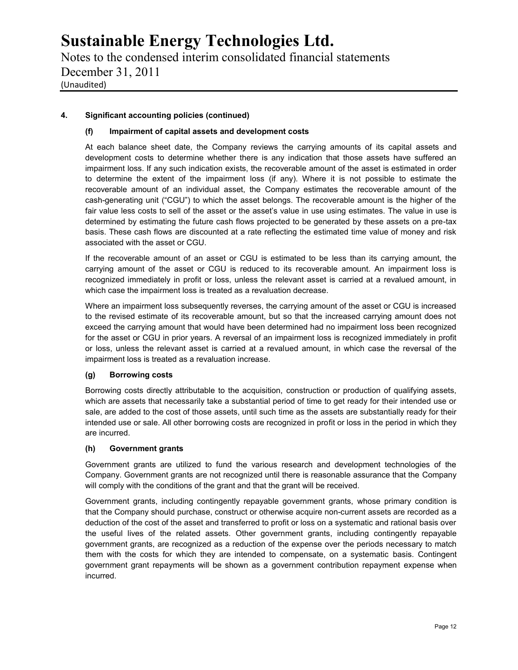Notes to the condensed interim consolidated financial statements December 31, 2011 (Unaudited)

### **4. Significant accounting policies (continued)**

### **(f) Impairment of capital assets and development costs**

At each balance sheet date, the Company reviews the carrying amounts of its capital assets and development costs to determine whether there is any indication that those assets have suffered an impairment loss. If any such indication exists, the recoverable amount of the asset is estimated in order to determine the extent of the impairment loss (if any). Where it is not possible to estimate the recoverable amount of an individual asset, the Company estimates the recoverable amount of the cash-generating unit ("CGU") to which the asset belongs. The recoverable amount is the higher of the fair value less costs to sell of the asset or the asset's value in use using estimates. The value in use is determined by estimating the future cash flows projected to be generated by these assets on a pre-tax basis. These cash flows are discounted at a rate reflecting the estimated time value of money and risk associated with the asset or CGU.

If the recoverable amount of an asset or CGU is estimated to be less than its carrying amount, the carrying amount of the asset or CGU is reduced to its recoverable amount. An impairment loss is recognized immediately in profit or loss, unless the relevant asset is carried at a revalued amount, in which case the impairment loss is treated as a revaluation decrease.

Where an impairment loss subsequently reverses, the carrying amount of the asset or CGU is increased to the revised estimate of its recoverable amount, but so that the increased carrying amount does not exceed the carrying amount that would have been determined had no impairment loss been recognized for the asset or CGU in prior years. A reversal of an impairment loss is recognized immediately in profit or loss, unless the relevant asset is carried at a revalued amount, in which case the reversal of the impairment loss is treated as a revaluation increase.

### **(g) Borrowing costs**

Borrowing costs directly attributable to the acquisition, construction or production of qualifying assets, which are assets that necessarily take a substantial period of time to get ready for their intended use or sale, are added to the cost of those assets, until such time as the assets are substantially ready for their intended use or sale. All other borrowing costs are recognized in profit or loss in the period in which they are incurred.

### **(h) Government grants**

Government grants are utilized to fund the various research and development technologies of the Company. Government grants are not recognized until there is reasonable assurance that the Company will comply with the conditions of the grant and that the grant will be received.

Government grants, including contingently repayable government grants, whose primary condition is that the Company should purchase, construct or otherwise acquire non-current assets are recorded as a deduction of the cost of the asset and transferred to profit or loss on a systematic and rational basis over the useful lives of the related assets. Other government grants, including contingently repayable government grants, are recognized as a reduction of the expense over the periods necessary to match them with the costs for which they are intended to compensate, on a systematic basis. Contingent government grant repayments will be shown as a government contribution repayment expense when incurred.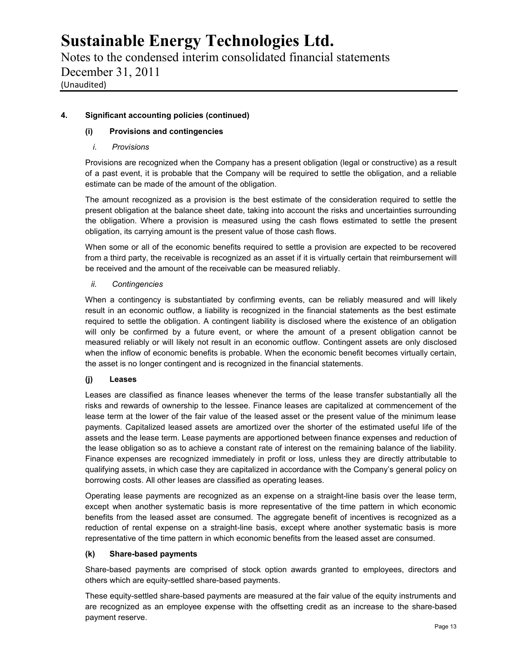Notes to the condensed interim consolidated financial statements December 31, 2011 (Unaudited)

### **4. Significant accounting policies (continued)**

### **(i) Provisions and contingencies**

### *i. Provisions*

Provisions are recognized when the Company has a present obligation (legal or constructive) as a result of a past event, it is probable that the Company will be required to settle the obligation, and a reliable estimate can be made of the amount of the obligation.

The amount recognized as a provision is the best estimate of the consideration required to settle the present obligation at the balance sheet date, taking into account the risks and uncertainties surrounding the obligation. Where a provision is measured using the cash flows estimated to settle the present obligation, its carrying amount is the present value of those cash flows.

When some or all of the economic benefits required to settle a provision are expected to be recovered from a third party, the receivable is recognized as an asset if it is virtually certain that reimbursement will be received and the amount of the receivable can be measured reliably.

### *ii. Contingencies*

When a contingency is substantiated by confirming events, can be reliably measured and will likely result in an economic outflow, a liability is recognized in the financial statements as the best estimate required to settle the obligation. A contingent liability is disclosed where the existence of an obligation will only be confirmed by a future event, or where the amount of a present obligation cannot be measured reliably or will likely not result in an economic outflow. Contingent assets are only disclosed when the inflow of economic benefits is probable. When the economic benefit becomes virtually certain, the asset is no longer contingent and is recognized in the financial statements.

### **(j) Leases**

Leases are classified as finance leases whenever the terms of the lease transfer substantially all the risks and rewards of ownership to the lessee. Finance leases are capitalized at commencement of the lease term at the lower of the fair value of the leased asset or the present value of the minimum lease payments. Capitalized leased assets are amortized over the shorter of the estimated useful life of the assets and the lease term. Lease payments are apportioned between finance expenses and reduction of the lease obligation so as to achieve a constant rate of interest on the remaining balance of the liability. Finance expenses are recognized immediately in profit or loss, unless they are directly attributable to qualifying assets, in which case they are capitalized in accordance with the Company's general policy on borrowing costs. All other leases are classified as operating leases.

Operating lease payments are recognized as an expense on a straight-line basis over the lease term, except when another systematic basis is more representative of the time pattern in which economic benefits from the leased asset are consumed. The aggregate benefit of incentives is recognized as a reduction of rental expense on a straight-line basis, except where another systematic basis is more representative of the time pattern in which economic benefits from the leased asset are consumed.

### **(k) Share-based payments**

Share-based payments are comprised of stock option awards granted to employees, directors and others which are equity-settled share-based payments.

These equity-settled share-based payments are measured at the fair value of the equity instruments and are recognized as an employee expense with the offsetting credit as an increase to the share-based payment reserve.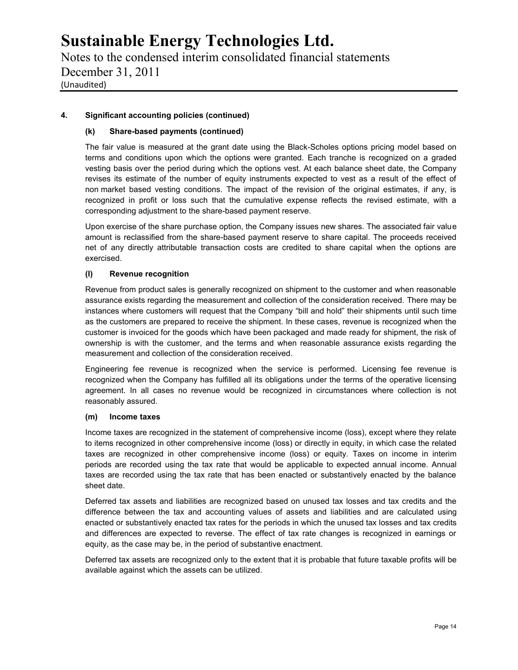Notes to the condensed interim consolidated financial statements December 31, 2011 (Unaudited)

### **4. Significant accounting policies (continued)**

### **(k) Share-based payments (continued)**

The fair value is measured at the grant date using the Black-Scholes options pricing model based on terms and conditions upon which the options were granted. Each tranche is recognized on a graded vesting basis over the period during which the options vest. At each balance sheet date, the Company revises its estimate of the number of equity instruments expected to vest as a result of the effect of non market based vesting conditions. The impact of the revision of the original estimates, if any, is recognized in profit or loss such that the cumulative expense reflects the revised estimate, with a corresponding adjustment to the share-based payment reserve.

Upon exercise of the share purchase option, the Company issues new shares. The associated fair value amount is reclassified from the share-based payment reserve to share capital. The proceeds received net of any directly attributable transaction costs are credited to share capital when the options are exercised.

### **(l) Revenue recognition**

Revenue from product sales is generally recognized on shipment to the customer and when reasonable assurance exists regarding the measurement and collection of the consideration received. There may be instances where customers will request that the Company "bill and hold" their shipments until such time as the customers are prepared to receive the shipment. In these cases, revenue is recognized when the customer is invoiced for the goods which have been packaged and made ready for shipment, the risk of ownership is with the customer, and the terms and when reasonable assurance exists regarding the measurement and collection of the consideration received.

Engineering fee revenue is recognized when the service is performed. Licensing fee revenue is recognized when the Company has fulfilled all its obligations under the terms of the operative licensing agreement. In all cases no revenue would be recognized in circumstances where collection is not reasonably assured.

### **(m) Income taxes**

Income taxes are recognized in the statement of comprehensive income (loss), except where they relate to items recognized in other comprehensive income (loss) or directly in equity, in which case the related taxes are recognized in other comprehensive income (loss) or equity. Taxes on income in interim periods are recorded using the tax rate that would be applicable to expected annual income. Annual taxes are recorded using the tax rate that has been enacted or substantively enacted by the balance sheet date.

Deferred tax assets and liabilities are recognized based on unused tax losses and tax credits and the difference between the tax and accounting values of assets and liabilities and are calculated using enacted or substantively enacted tax rates for the periods in which the unused tax losses and tax credits and differences are expected to reverse. The effect of tax rate changes is recognized in earnings or equity, as the case may be, in the period of substantive enactment.

Deferred tax assets are recognized only to the extent that it is probable that future taxable profits will be available against which the assets can be utilized.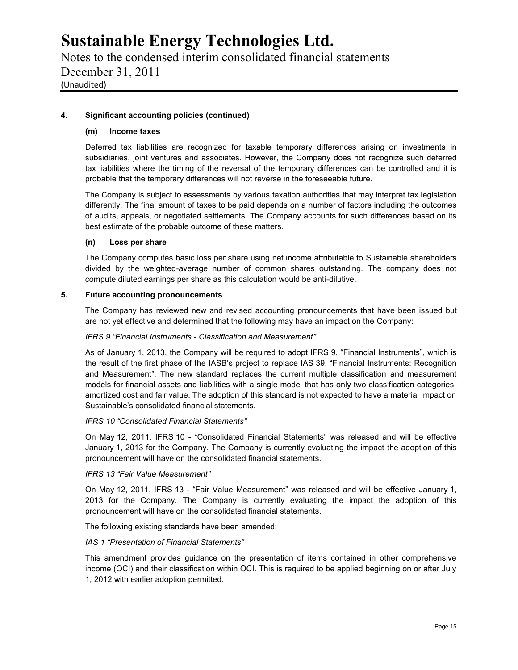Notes to the condensed interim consolidated financial statements December 31, 2011 (Unaudited)

### **4. Significant accounting policies (continued)**

### **(m) Income taxes**

Deferred tax liabilities are recognized for taxable temporary differences arising on investments in subsidiaries, joint ventures and associates. However, the Company does not recognize such deferred tax liabilities where the timing of the reversal of the temporary differences can be controlled and it is probable that the temporary differences will not reverse in the foreseeable future.

The Company is subject to assessments by various taxation authorities that may interpret tax legislation differently. The final amount of taxes to be paid depends on a number of factors including the outcomes of audits, appeals, or negotiated settlements. The Company accounts for such differences based on its best estimate of the probable outcome of these matters.

### **(n) Loss per share**

The Company computes basic loss per share using net income attributable to Sustainable shareholders divided by the weighted-average number of common shares outstanding. The company does not compute diluted earnings per share as this calculation would be anti-dilutive.

#### **5. Future accounting pronouncements**

The Company has reviewed new and revised accounting pronouncements that have been issued but are not yet effective and determined that the following may have an impact on the Company:

### *IFRS 9"Financial Instruments - Classification and Measurement"*

As of January 1, 2013, the Company will be required to adopt IFRS 9, "Financial Instruments", which is the result of the first phase of the IASB's project to replace IAS 39, "Financial Instruments: Recognition and Measurement". The new standard replaces the current multiple classification and measurement models for financial assets and liabilities with a single model that has only two classification categories: amortized cost and fair value. The adoption of this standard is not expected to have a material impact on Sustainable's consolidated financial statements.

### *IFRS 10 "Consolidated Financial Statements"*

On May 12, 2011, IFRS 10 - "Consolidated Financial Statements" was released and will be effective January 1, 2013 for the Company. The Company is currently evaluating the impact the adoption of this pronouncement will have on the consolidated financial statements.

#### *IFRS 13 "Fair Value Measurement"*

On May 12, 2011, IFRS 13 - "Fair Value Measurement" was released and will be effective January 1, 2013 for the Company. The Company is currently evaluating the impact the adoption of this pronouncement will have on the consolidated financial statements.

The following existing standards have been amended:

### *IAS 1 "Presentation of Financial Statements"*

This amendment provides guidance on the presentation of items contained in other comprehensive income (OCI) and their classification within OCI. This is required to be applied beginning on or after July 1, 2012 with earlier adoption permitted.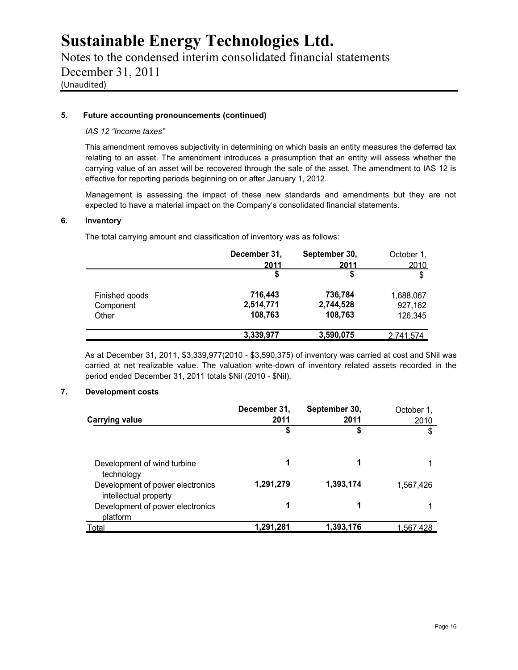Notes to the condensed interim consolidated financial statements December 31, 2011 (Unaudited)

### **5. Future accounting pronouncements (continued)**

### *IAS 12 "Income taxes"*

This amendment removes subjectivity in determining on which basis an entity measures the deferred tax relating to an asset. The amendment introduces a presumption that an entity will assess whether the carrying value of an asset will be recovered through the sale of the asset. The amendment to IAS 12 is effective for reporting periods beginning on or after January 1, 2012.

Management is assessing the impact of these new standards and amendments but they are not expected to have a material impact on the Company's consolidated financial statements.

#### **6. Inventory**

The total carrying amount and classification of inventory was as follows:

|                | December 31, | September 30, | October 1,       |
|----------------|--------------|---------------|------------------|
|                | 2011         | 2011          | 2010             |
|                | \$           | \$            | \$               |
| Finished goods | 716,443      | 736,784       | 1,688,067        |
| Component      | 2,514,771    | 2,744,528     | 927,162          |
| Other          | 108,763      | 108,763       | 126,345          |
|                | 3,339,977    | 3,590,075     | <u>2.741.574</u> |

As at December 31, 2011, \$3,339,977(2010 - \$3,590,375) of inventory was carried at cost and \$Nil was carried at net realizable value. The valuation write-down of inventory related assets recorded in the period ended December 31, 2011 totals \$Nil (2010 - \$Nil).

### **7. Development costs**

|                                                           | December 31, | September 30, | October 1, |
|-----------------------------------------------------------|--------------|---------------|------------|
| <b>Carrying value</b>                                     | 2011         | 2011          | 2010       |
|                                                           | \$           | \$            | \$         |
| Development of wind turbine<br>technology                 | 1            |               |            |
| Development of power electronics<br>intellectual property | 1,291,279    | 1,393,174     | 1,567,426  |
| Development of power electronics<br>platform              |              |               |            |
| <b>Total</b>                                              | 1.291.281    | 1,393,176     | 1.567.428  |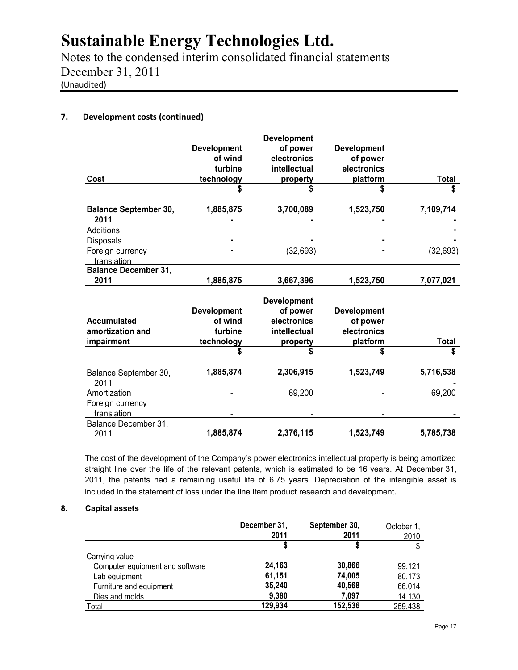Notes to the condensed interim consolidated financial statements December 31, 2011 (Unaudited)

### **7. Development costs (continued)**

| Cost                                 | <b>Development</b><br>of wind<br>turbine<br>technology | <b>Development</b><br>of power<br>electronics<br>intellectual<br>property | <b>Development</b><br>of power<br>electronics<br>platform | <b>Total</b>   |
|--------------------------------------|--------------------------------------------------------|---------------------------------------------------------------------------|-----------------------------------------------------------|----------------|
|                                      | \$                                                     | \$                                                                        | S                                                         | \$             |
| <b>Balance September 30,</b><br>2011 | 1,885,875                                              | 3,700,089                                                                 | 1,523,750                                                 | 7,109,714<br>- |
| Additions                            |                                                        |                                                                           |                                                           |                |
| <b>Disposals</b>                     |                                                        |                                                                           |                                                           |                |
| Foreign currency<br>translation      |                                                        | (32, 693)                                                                 |                                                           | (32, 693)      |
| <b>Balance December 31,</b>          |                                                        |                                                                           |                                                           |                |
| 2011                                 | 1,885,875                                              | 3,667,396                                                                 | 1,523,750                                                 | 7,077,021      |

| Accumulated<br>amortization and<br>impairment   | <b>Development</b><br>of wind<br>turbine<br>technology | <b>Development</b><br>of power<br>electronics<br>intellectual<br>property | <b>Development</b><br>of power<br>electronics<br>platform | <b>Total</b> |
|-------------------------------------------------|--------------------------------------------------------|---------------------------------------------------------------------------|-----------------------------------------------------------|--------------|
|                                                 | \$                                                     | \$                                                                        |                                                           | \$           |
| Balance September 30,<br>2011                   | 1,885,874                                              | 2,306,915                                                                 | 1,523,749                                                 | 5,716,538    |
| Amortization<br>Foreign currency<br>translation |                                                        | 69,200                                                                    |                                                           | 69,200       |
| Balance December 31.<br>2011                    | 1,885,874                                              | 2,376,115                                                                 | 1,523,749                                                 | 5,785,738    |

The cost of the development of the Company's power electronics intellectual property is being amortized straight line over the life of the relevant patents, which is estimated to be 16 years. At December 31, 2011, the patents had a remaining useful life of 6.75 years. Depreciation of the intangible asset is included in the statement of loss under the line item product research and development.

### **8. Capital assets**

|                                 | December 31,<br>2011 | September 30,<br>2011 | October 1,<br>2010 |
|---------------------------------|----------------------|-----------------------|--------------------|
|                                 |                      |                       | \$                 |
| Carrying value                  |                      |                       |                    |
| Computer equipment and software | 24.163               | 30,866                | 99,121             |
| Lab equipment                   | 61,151               | 74,005                | 80,173             |
| Furniture and equipment         | 35,240               | 40,568                | 66.014             |
| Dies and molds                  | 9,380                | 7,097                 | 14,130             |
| Total                           | 129,934              | 152,536               | 259.438            |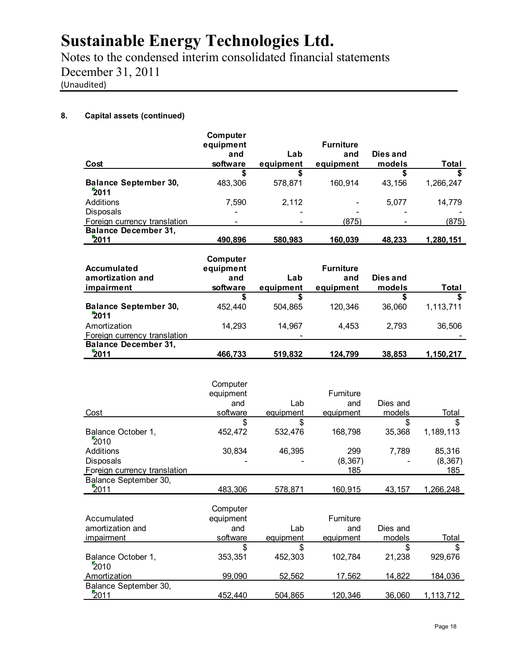Notes to the condensed interim consolidated financial statements December 31, 2011 (Unaudited)

### **8. Capital assets (continued)**

| Cost                                 | Computer<br>equipment<br>and<br>software | Lab<br>equipment | <b>Furniture</b><br>and<br>equipment | Dies and<br>models | Total     |
|--------------------------------------|------------------------------------------|------------------|--------------------------------------|--------------------|-----------|
|                                      |                                          |                  |                                      |                    |           |
| <b>Balance September 30,</b><br>2011 | 483,306                                  | 578.871          | 160.914                              | 43.156             | 1,266,247 |
| Additions                            | 7.590                                    | 2.112            |                                      | 5.077              | 14.779    |
| <b>Disposals</b>                     |                                          |                  |                                      |                    |           |
| Foreign currency translation         |                                          |                  | (875)                                |                    | (875)     |
| <b>Balance December 31,</b><br>2011  | 490,896                                  | 580,983          | 160,039                              | 48,233             | 1,280,151 |

| Accumulated                                         | Computer<br>equipment |                  | <b>Furniture</b> |                    |           |
|-----------------------------------------------------|-----------------------|------------------|------------------|--------------------|-----------|
| amortization and<br>impairment                      | and<br>software       | Lab<br>equipment | and<br>equipment | Dies and<br>models | Total     |
|                                                     |                       |                  |                  |                    |           |
| <b>Balance September 30,</b><br>2011                | 452.440               | 504.865          | 120.346          | 36.060             | 1.113.711 |
| Amortization<br><b>Foreign currency translation</b> | 14.293                | 14.967<br>۰      | 4.453            | 2.793              | 36,506    |
| <b>Balance December 31,</b><br>2011                 | 466.733               | 519,832          | 124.799          | 38,853             | 1,150,217 |

|                              | Computer              |           |                  |          |           |
|------------------------------|-----------------------|-----------|------------------|----------|-----------|
|                              | equipment             |           | Furniture        |          |           |
|                              | and                   | Lab       | and              | Dies and |           |
| Cost                         | software              | equipment | equipment        | models   | Total     |
|                              | \$                    | \$        |                  | S        | S         |
| Balance October 1,<br>2010   | 452,472               | 532,476   | 168,798          | 35,368   | 1,189,113 |
| Additions                    | 30,834                | 46,395    | 299              | 7.789    | 85,316    |
| <b>Disposals</b>             |                       |           | (8, 367)         |          | (8, 367)  |
| Foreign currency translation |                       |           | 185              |          | 185       |
| Balance September 30,        |                       |           |                  |          |           |
| 2011                         | 483.306               | 578,871   | <u>160,915</u>   | 43.157   | 1,266,248 |
| Accumulated                  | Computer<br>equipment |           | <b>Furniture</b> |          |           |

|                            | ---------- |           |           |          |           |
|----------------------------|------------|-----------|-----------|----------|-----------|
| amortization and           | and        | Lab       | and       | Dies and |           |
| impairment                 | software   | equipment | equipment | models   | Total     |
|                            |            |           |           |          |           |
| Balance October 1,<br>2010 | 353,351    | 452.303   | 102,784   | 21,238   | 929.676   |
| Amortization               | 99.090     | 52.562    | 17.562    | 14.822   | 184,036   |
| Balance September 30,      |            |           |           |          |           |
| 2011                       | 452.440    | 504.865   | 120.346   | 36,060   | 1,113,712 |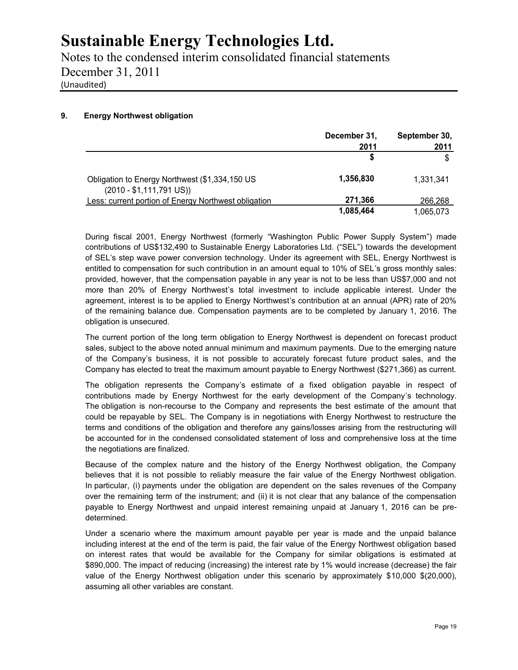Notes to the condensed interim consolidated financial statements December 31, 2011 (Unaudited)

### **9. Energy Northwest obligation**

|                                                                                     | December 31,<br>2011 | September 30,<br>2011 |
|-------------------------------------------------------------------------------------|----------------------|-----------------------|
|                                                                                     |                      | \$                    |
| Obligation to Energy Northwest (\$1,334,150 US<br>$(2010 - $1,111,791 \text{ US}))$ | 1,356,830            | 1.331.341             |
| Less: current portion of Energy Northwest obligation                                | 271,366              | 266,268               |
|                                                                                     | 1,085,464            | 1,065,073             |

During fiscal 2001, Energy Northwest (formerly "Washington Public Power Supply System") made contributions of US\$132,490 to Sustainable Energy Laboratories Ltd. ("SEL") towards the development of SEL's step wave power conversion technology. Under its agreement with SEL, Energy Northwest is entitled to compensation for such contribution in an amount equal to 10% of SEL's gross monthly sales: provided, however, that the compensation payable in any year is not to be less than US\$7,000 and not more than 20% of Energy Northwest's total investment to include applicable interest. Under the agreement, interest is to be applied to Energy Northwest's contribution at an annual (APR) rate of 20% of the remaining balance due. Compensation payments are to be completed by January 1, 2016. The obligation is unsecured.

The current portion of the long term obligation to Energy Northwest is dependent on forecast product sales, subject to the above noted annual minimum and maximum payments. Due to the emerging nature of the Company's business, it is not possible to accurately forecast future product sales, and the Company has elected to treat the maximum amount payable to Energy Northwest (\$271,366) as current.

The obligation represents the Company's estimate of a fixed obligation payable in respect of contributions made by Energy Northwest for the early development of the Company's technology. The obligation is non-recourse to the Company and represents the best estimate of the amount that could be repayable by SEL. The Company is in negotiations with Energy Northwest to restructure the terms and conditions of the obligation and therefore any gains/losses arising from the restructuring will be accounted for in the condensed consolidated statement of loss and comprehensive loss at the time the negotiations are finalized.

Because of the complex nature and the history of the Energy Northwest obligation, the Company believes that it is not possible to reliably measure the fair value of the Energy Northwest obligation. In particular, (i) payments under the obligation are dependent on the sales revenues of the Company over the remaining term of the instrument; and (ii) it is not clear that any balance of the compensation payable to Energy Northwest and unpaid interest remaining unpaid at January 1, 2016 can be pre determined.

Under a scenario where the maximum amount payable per year is made and the unpaid balance including interest at the end of the term is paid, the fair value of the Energy Northwest obligation based on interest rates that would be available for the Company for similar obligations is estimated at \$890,000. The impact of reducing (increasing) the interest rate by 1% would increase (decrease) the fair value of the Energy Northwest obligation under this scenario by approximately \$10,000 \$(20,000), assuming all other variables are constant.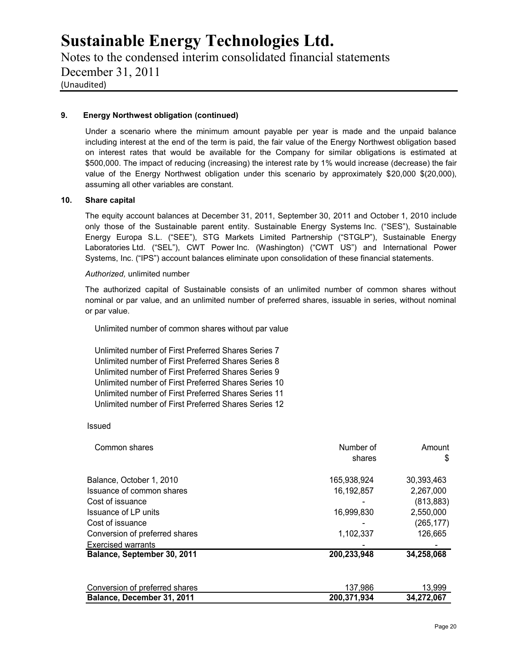Notes to the condensed interim consolidated financial statements December 31, 2011 (Unaudited)

### **9. Energy Northwest obligation (continued)**

Under a scenario where the minimum amount payable per year is made and the unpaid balance including interest at the end of the term is paid, the fair value of the Energy Northwest obligation based on interest rates that would be available for the Company for similar obligations is estimated at \$500,000. The impact of reducing (increasing) the interest rate by 1% would increase (decrease) the fair value of the Energy Northwest obligation under this scenario by approximately \$20,000 \$(20,000), assuming all other variables are constant.

### **10. Share capital**

The equity account balances at December 31, 2011, September 30, 2011 and October 1, 2010 include only those of the Sustainable parent entity. Sustainable Energy Systems Inc. ("SES"), Sustainable Energy Europa S.L. ("SEE"), STG Markets Limited Partnership ("STGLP"), Sustainable Energy Laboratories Ltd. ("SEL"), CWT Power Inc. (Washington) ("CWT US") and International Power Systems, Inc. ("IPS") account balances eliminate upon consolidation of these financial statements.

#### *Authorized,* unlimited number

The authorized capital of Sustainable consists of an unlimited number of common shares without nominal or par value, and an unlimited number of preferred shares, issuable in series, without nominal or par value.

Unlimited number of common shares without par value

Unlimited number of First Preferred Shares Series 7 Unlimited number of First Preferred Shares Series 8 Unlimited number of First Preferred Shares Series 9 Unlimited number of First Preferred Shares Series 10 Unlimited number of First Preferred Shares Series 11 Unlimited number of First Preferred Shares Series 12

#### Issued

| Common shares                  | Number of   | Amount     |
|--------------------------------|-------------|------------|
|                                | shares      | \$         |
| Balance, October 1, 2010       | 165,938,924 | 30,393,463 |
| Issuance of common shares      | 16,192,857  | 2,267,000  |
| Cost of issuance               |             | (813, 883) |
| Issuance of LP units           | 16,999,830  | 2,550,000  |
| Cost of issuance               |             | (265, 177) |
| Conversion of preferred shares | 1,102,337   | 126,665    |
| <b>Exercised warrants</b>      |             |            |
| Balance, September 30, 2011    | 200,233,948 | 34,258,068 |
| Conversion of preferred shares | 137,986     | 13,999     |
| Balance, December 31, 2011     | 200,371,934 | 34,272,067 |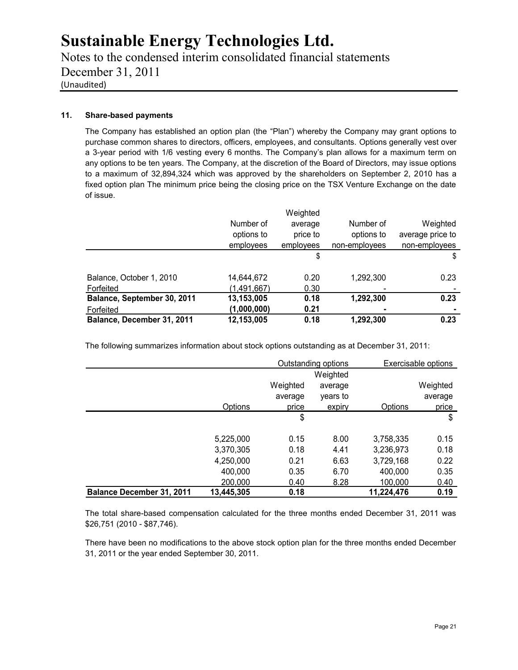Notes to the condensed interim consolidated financial statements December 31, 2011 (Unaudited)

### **11. Share-based payments**

The Company has established an option plan (the "Plan") whereby the Company may grant options to purchase common shares to directors, officers, employees, and consultants. Options generally vest over a 3-year period with 1/6 vesting every 6 months. The Company's plan allows for a maximum term on any options to be ten years. The Company, at the discretion of the Board of Directors, may issue options to a maximum of 32,894,324 which was approved by the shareholders on September 2, 2010 has a fixed option plan The minimum price being the closing price on the TSX Venture Exchange on the date of issue.

|                             |             | Weighted  |               |                  |
|-----------------------------|-------------|-----------|---------------|------------------|
|                             | Number of   | average   | Number of     | Weighted         |
|                             | options to  | price to  | options to    | average price to |
|                             | employees   | employees | non-employees | non-employees    |
|                             |             | \$        |               | \$               |
| Balance, October 1, 2010    | 14,644,672  | 0.20      | 1,292,300     | 0.23             |
| Forfeited                   | (1,491,667) | 0.30      |               |                  |
| Balance, September 30, 2011 | 13,153,005  | 0.18      | 1,292,300     | 0.23             |
| Forfeited                   | (1,000,000) | 0.21      |               |                  |
| Balance, December 31, 2011  | 12,153,005  | 0.18      | 1,292,300     | 0.23             |

The following summarizes information about stock options outstanding as at December 31, 2011:

|                                  |            | Outstanding options |          |            | Exercisable options |
|----------------------------------|------------|---------------------|----------|------------|---------------------|
|                                  |            |                     | Weighted |            |                     |
|                                  |            | Weighted            | average  |            | Weighted            |
|                                  |            | average             | vears to |            | average             |
|                                  | Options    | price               | expiry   | Options    | price               |
|                                  |            | \$                  |          |            | \$                  |
|                                  | 5,225,000  | 0.15                | 8.00     | 3,758,335  | 0.15                |
|                                  | 3,370,305  | 0.18                | 4.41     | 3,236,973  | 0.18                |
|                                  | 4,250,000  | 0.21                | 6.63     | 3,729,168  | 0.22                |
|                                  | 400,000    | 0.35                | 6.70     | 400,000    | 0.35                |
|                                  | 200,000    | 0.40                | 8.28     | 100,000    | 0.40                |
| <b>Balance December 31, 2011</b> | 13,445,305 | 0.18                |          | 11,224,476 | 0.19                |

The total share-based compensation calculated for the three months ended December 31, 2011 was \$26,751 (2010 - \$87,746).

There have been no modifications to the above stock option plan for the three months ended December 31, 2011 or the year ended September 30, 2011.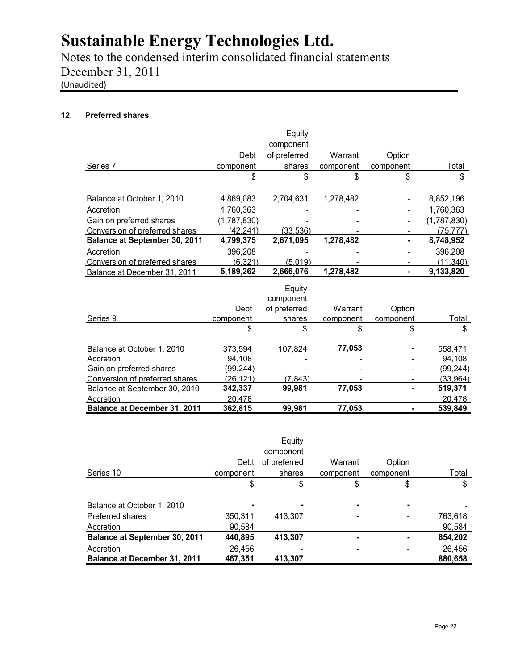Notes to the condensed interim consolidated financial statements December 31, 2011 (Unaudited)

### **12. Preferred shares**

|                                      |             | Equity       |           |           |             |
|--------------------------------------|-------------|--------------|-----------|-----------|-------------|
|                                      |             | component    |           |           |             |
|                                      | Debt        | of preferred | Warrant   | Option    |             |
| Series 7                             | component   | shares       | component | component | Total       |
|                                      | \$          | \$           | \$        | \$        | \$          |
| Balance at October 1, 2010           | 4,869,083   | 2,704,631    | 1,278,482 |           | 8,852,196   |
| Accretion                            | 1,760,363   |              |           |           | 1,760,363   |
| Gain on preferred shares             | (1,787,830) |              |           |           | (1,787,830) |
| Conversion of preferred shares       | (42,241)    | (33,536)     |           |           | (75.777)    |
| <b>Balance at September 30, 2011</b> | 4,799,375   | 2,671,095    | 1,278,482 |           | 8,748,952   |
| Accretion                            | 396,208     |              |           |           | 396,208     |
| Conversion of preferred shares       | (6.321)     | (5.019)      |           |           | (11.340)    |
| Balance at December 31, 2011         | 5,189,262   | 2.666.076    | 1,278,482 |           | 9,133,820   |

|                                     |           | Equity<br>component |           |           |           |
|-------------------------------------|-----------|---------------------|-----------|-----------|-----------|
|                                     | Debt      | of preferred        | Warrant   | Option    |           |
| Series 9                            | component | shares              | component | component | Total     |
|                                     | \$        | \$                  | \$        | \$        | \$        |
| Balance at October 1, 2010          | 373.594   | 107.824             | 77,053    |           | 558,471   |
| Accretion                           | 94.108    |                     |           |           | 94.108    |
| Gain on preferred shares            | (99, 244) |                     |           |           | (99, 244) |
| Conversion of preferred shares      | (26,121)  | (7,843)             |           |           | (33,964)  |
| Balance at September 30, 2010       | 342,337   | 99,981              | 77,053    |           | 519,371   |
| Accretion                           | 20.478    |                     |           |           | 20,478    |
| <b>Balance at December 31, 2011</b> | 362,815   | 99,981              | 77,053    |           | 539,849   |

|                                     |           | Equity       |           |           |         |
|-------------------------------------|-----------|--------------|-----------|-----------|---------|
|                                     |           | component    |           |           |         |
|                                     | Debt      | of preferred | Warrant   | Option    |         |
| Series 10                           | component | shares       | component | component | Total   |
|                                     | \$        | \$           | \$        | \$        | \$      |
| Balance at October 1, 2010          |           |              |           |           |         |
| Preferred shares                    | 350,311   | 413,307      |           |           | 763,618 |
| Accretion                           | 90,584    |              |           |           | 90,584  |
| Balance at September 30, 2011       | 440,895   | 413,307      |           | ۰         | 854,202 |
| Accretion                           | 26,456    |              |           |           | 26,456  |
| <b>Balance at December 31, 2011</b> | 467,351   | 413,307      |           |           | 880,658 |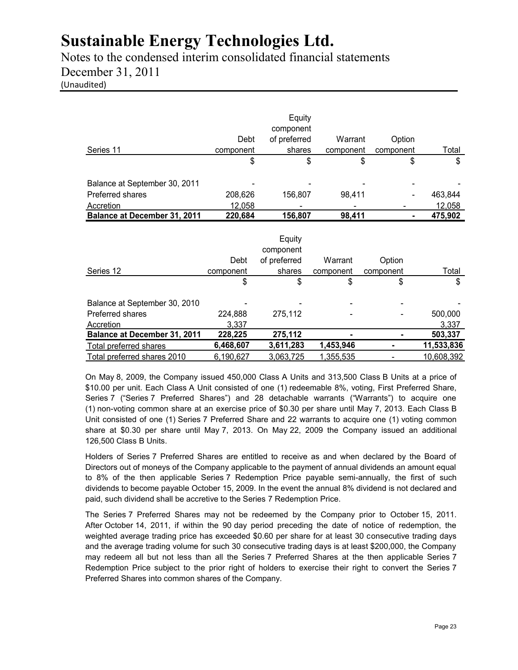Notes to the condensed interim consolidated financial statements December 31, 2011 (Unaudited)

| Series 11                                                      | Debt<br>component        | Equity<br>component<br>of preferred<br>shares | Warrant<br>component        | Option<br>component | <u>Total</u>     |
|----------------------------------------------------------------|--------------------------|-----------------------------------------------|-----------------------------|---------------------|------------------|
|                                                                | \$                       | \$                                            |                             | \$                  | \$<br>\$         |
| Balance at September 30, 2011                                  |                          |                                               |                             |                     |                  |
| Preferred shares                                               | 208,626                  | 156,807                                       | 98,411                      |                     | 463,844          |
| Accretion                                                      | 12,058                   |                                               |                             |                     | 12,058           |
| <b>Balance at December 31, 2011</b>                            | 220,684                  | 156,807                                       | 98,411                      |                     | 475,902<br>۰     |
| Series 12                                                      | Debt<br><u>component</u> | Equity<br>component<br>of preferred<br>shares | Warrant<br><u>component</u> | Option<br>component | <b>Total</b>     |
|                                                                | \$                       | \$                                            | \$                          | \$                  | \$               |
| Balance at September 30, 2010<br>Preferred shares<br>Accretion | 224,888<br>3,337         | 275,112                                       |                             |                     | 500,000<br>3,337 |
| Balance at December 31, 2011                                   | 228,225                  | 275,112                                       |                             |                     | 503,337          |
| Total preferred shares                                         | 6,468,607                | 3,611,283                                     | 1,453,946                   | ٠                   | 11,533,836       |
| Total preferred shares 2010                                    | 6,190,627                | 3,063,725                                     | 1,355,535                   |                     | 10,608,392       |

On May 8, 2009, the Company issued 450,000 Class A Units and 313,500 Class B Units at a price of \$10.00 per unit. Each Class A Unit consisted of one (1) redeemable 8%, voting, First Preferred Share, Series 7 ("Series 7 Preferred Shares") and 28 detachable warrants ("Warrants") to acquire one (1) non-voting common share at an exercise price of \$0.30 per share until May 7, 2013. Each Class B Unit consisted of one (1) Series 7 Preferred Share and 22 warrants to acquire one (1) voting common share at \$0.30 per share until May 7, 2013. On May 22, 2009 the Company issued an additional 126,500 Class B Units.

Holders of Series 7 Preferred Shares are entitled to receive as and when declared by the Board of Directors out of moneys of the Company applicable to the payment of annual dividends an amount equal to 8% of the then applicable Series 7 Redemption Price payable semi-annually, the first of such dividends to become payable October 15, 2009. In the event the annual 8% dividend is not declared and paid, such dividend shall be accretive to the Series 7 Redemption Price.

The Series 7 Preferred Shares may not be redeemed by the Company prior to October 15, 2011. After October 14, 2011, if within the 90 day period preceding the date of notice of redemption, the weighted average trading price has exceeded \$0.60 per share for at least 30 consecutive trading days and the average trading volume for such 30 consecutive trading days is at least \$200,000, the Company may redeem all but not less than all the Series 7 Preferred Shares at the then applicable Series 7 Redemption Price subject to the prior right of holders to exercise their right to convert the Series 7 Preferred Shares into common shares of the Company.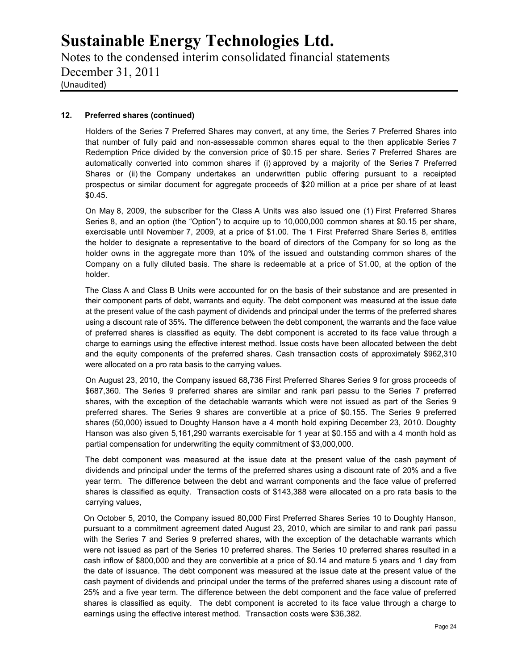Notes to the condensed interim consolidated financial statements December 31, 2011 (Unaudited)

### **12. Preferred shares (continued)**

Holders of the Series 7 Preferred Shares may convert, at any time, the Series 7 Preferred Shares into that number of fully paid and non-assessable common shares equal to the then applicable Series 7 Redemption Price divided by the conversion price of \$0.15 per share. Series 7 Preferred Shares are automatically converted into common shares if (i) approved by a majority of the Series 7 Preferred Shares or (ii) the Company undertakes an underwritten public offering pursuant to a receipted prospectus or similar document for aggregate proceeds of \$20 million at a price per share of at least \$0.45.

On May 8, 2009, the subscriber for the Class A Units was also issued one (1) First Preferred Shares Series 8, and an option (the "Option") to acquire up to 10,000,000 common shares at \$0.15 per share, exercisable until November 7, 2009, at a price of \$1.00. The 1 First Preferred Share Series 8, entitles the holder to designate a representative to the board of directors of the Company for so long as the holder owns in the aggregate more than 10% of the issued and outstanding common shares of the Company on a fully diluted basis. The share is redeemable at a price of \$1.00, at the option of the holder.

The Class A and Class B Units were accounted for on the basis of their substance and are presented in their component parts of debt, warrants and equity. The debt component was measured at the issue date at the present value of the cash payment of dividends and principal under the terms of the preferred shares using a discount rate of 35%. The difference between the debt component, the warrants and the face value of preferred shares is classified as equity. The debt component is accreted to its face value through a charge to earnings using the effective interest method. Issue costs have been allocated between the debt and the equity components of the preferred shares. Cash transaction costs of approximately \$962,310 were allocated on a pro rata basis to the carrying values.

On August 23, 2010, the Company issued 68,736 First Preferred Shares Series 9 for gross proceeds of \$687,360. The Series 9 preferred shares are similar and rank pari passu to the Series 7 preferred shares, with the exception of the detachable warrants which were not issued as part of the Series 9 preferred shares. The Series 9 shares are convertible at a price of \$0.155. The Series 9 preferred shares (50,000) issued to Doughty Hanson have a 4 month hold expiring December 23, 2010. Doughty Hanson was also given 5,161,290 warrants exercisable for 1 year at \$0.155 and with a 4 month hold as partial compensation for underwriting the equity commitment of \$3,000,000.

The debt component was measured at the issue date at the present value of the cash payment of dividends and principal under the terms of the preferred shares using a discount rate of 20% and a five year term. The difference between the debt and warrant components and the face value of preferred shares is classified as equity. Transaction costs of \$143,388 were allocated on a pro rata basis to the carrying values,

On October 5, 2010, the Company issued 80,000 First Preferred Shares Series 10 to Doughty Hanson, pursuant to a commitment agreement dated August 23, 2010, which are similar to and rank pari passu with the Series 7 and Series 9 preferred shares, with the exception of the detachable warrants which were not issued as part of the Series 10 preferred shares. The Series 10 preferred shares resulted in a cash inflow of \$800,000 and they are convertible at a price of \$0.14 and mature 5 years and 1 day from the date of issuance. The debt component was measured at the issue date at the present value of the cash payment of dividends and principal under the terms of the preferred shares using a discount rate of 25% and a five year term. The difference between the debt component and the face value of preferred shares is classified as equity. The debt component is accreted to its face value through a charge to earnings using the effective interest method. Transaction costs were \$36,382.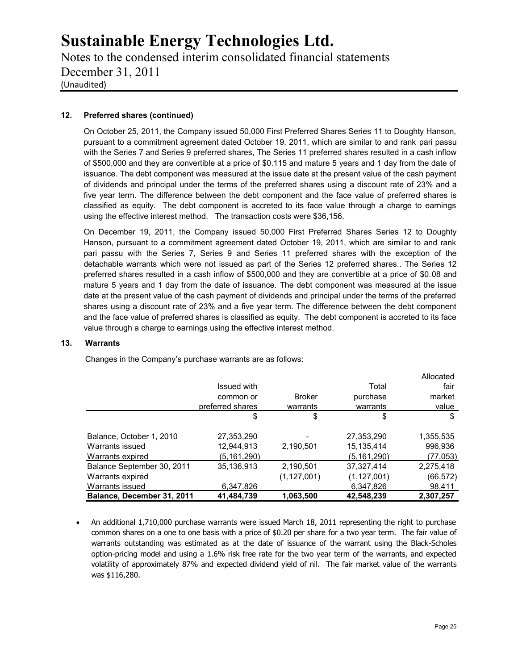Notes to the condensed interim consolidated financial statements December 31, 2011 (Unaudited)

### **12. Preferred shares (continued)**

On October 25, 2011, the Company issued 50,000 First Preferred Shares Series 11 to Doughty Hanson, pursuant to a commitment agreement dated October 19, 2011, which are similar to and rank pari passu with the Series 7 and Series 9 preferred shares, The Series 11 preferred shares resulted in a cash inflow of \$500,000 and they are convertible at a price of \$0.115 and mature 5 years and 1 day from the date of issuance. The debt component was measured at the issue date at the present value of the cash payment of dividends and principal under the terms of the preferred shares using a discount rate of 23% and a five year term. The difference between the debt component and the face value of preferred shares is classified as equity. The debt component is accreted to its face value through a charge to earnings using the effective interest method. The transaction costs were \$36,156.

On December 19, 2011, the Company issued 50,000 First Preferred Shares Series 12 to Doughty Hanson, pursuant to a commitment agreement dated October 19, 2011, which are similar to and rank pari passu with the Series 7, Series 9 and Series 11 preferred shares with the exception of the detachable warrants which were not issued as part of the Series 12 preferred shares.. The Series 12 preferred shares resulted in a cash inflow of \$500,000 and they are convertible at a price of \$0.08 and mature 5 years and 1 day from the date of issuance. The debt component was measured at the issue date at the present value of the cash payment of dividends and principal under the terms of the preferred shares using a discount rate of 23% and a five year term. The difference between the debt component and the face value of preferred shares is classified as equity. The debt component is accreted to its face value through a charge to earnings using the effective interest method.

### **13. Warrants**

Changes in the Company's purchase warrants are as follows:

|                            |                  |               |               | Allocated |
|----------------------------|------------------|---------------|---------------|-----------|
|                            | Issued with      |               | Total         | fair      |
|                            | common or        | <b>Broker</b> | purchase      | market    |
|                            | preferred shares | warrants      | warrants      | value     |
|                            | \$               | \$            | \$            | \$        |
| Balance, October 1, 2010   | 27,353,290       |               | 27,353,290    | 1,355,535 |
| Warrants issued            | 12,944,913       | 2,190,501     | 15,135,414    | 996,936   |
| Warrants expired           | (5.161.290)      |               | (5.161, 290)  | (77,053)  |
| Balance September 30, 2011 | 35,136,913       | 2,190,501     | 37,327,414    | 2,275,418 |
| Warrants expired           |                  | (1, 127, 001) | (1, 127, 001) | (66,572)  |
| Warrants issued            | 6,347,826        |               | 6,347,826     | 98,411    |
| Balance, December 31, 2011 | 41,484,739       | 1.063.500     | 42.548.239    | 2.307.257 |

 An additional 1,710,000 purchase warrants were issued March 18, 2011 representing the right to purchase common shares on a one to one basis with a price of \$0.20 per share for a two year term. The fair value of warrants outstanding was estimated as at the date of issuance of the warrant using the Black-Scholes option-pricing model and using a 1.6% risk free rate for the two year term of the warrants, and expected volatility of approximately 87% and expected dividend yield of nil. The fair market value of the warrants was \$116,280.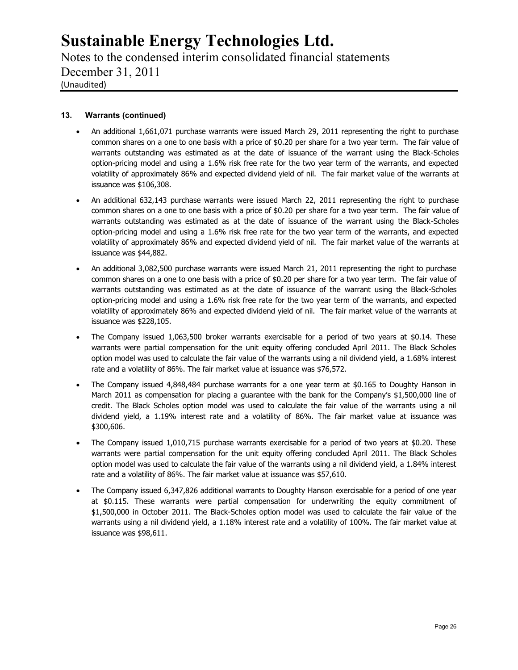Notes to the condensed interim consolidated financial statements December 31, 2011 (Unaudited)

### **13. Warrants (continued)**

- An additional 1,661,071 purchase warrants were issued March 29, 2011 representing the right to purchase common shares on a one to one basis with a price of \$0.20 per share for a two year term. The fair value of warrants outstanding was estimated as at the date of issuance of the warrant using the Black-Scholes option-pricing model and using a 1.6% risk free rate for the two year term of the warrants, and expected volatility of approximately 86% and expected dividend yield of nil. The fair market value of the warrants at issuance was \$106,308.
- An additional 632,143 purchase warrants were issued March 22, 2011 representing the right to purchase common shares on a one to one basis with a price of \$0.20 per share for a two year term. The fair value of warrants outstanding was estimated as at the date of issuance of the warrant using the Black-Scholes option-pricing model and using a 1.6% risk free rate for the two year term of the warrants, and expected volatility of approximately 86% and expected dividend yield of nil. The fair market value of the warrants at issuance was \$44,882.
- An additional 3,082,500 purchase warrants were issued March 21, 2011 representing the right to purchase common shares on a one to one basis with a price of \$0.20 per share for a two year term. The fair value of warrants outstanding was estimated as at the date of issuance of the warrant using the Black-Scholes option-pricing model and using a 1.6% risk free rate for the two year term of the warrants, and expected volatility of approximately 86% and expected dividend yield of nil. The fair market value of the warrants at issuance was \$228,105.
- The Company issued 1,063,500 broker warrants exercisable for a period of two years at \$0.14. These warrants were partial compensation for the unit equity offering concluded April 2011. The Black Scholes option model was used to calculate the fair value of the warrants using a nil dividend yield, a 1.68% interest rate and a volatility of 86%. The fair market value at issuance was \$76,572.
- The Company issued 4,848,484 purchase warrants for a one year term at \$0.165 to Doughty Hanson in March 2011 as compensation for placing a guarantee with the bank for the Company's \$1,500,000 line of credit. The Black Scholes option model was used to calculate the fair value of the warrants using a nil dividend yield, a 1.19% interest rate and a volatility of 86%. The fair market value at issuance was \$300,606.
- The Company issued 1,010,715 purchase warrants exercisable for a period of two years at \$0.20. These warrants were partial compensation for the unit equity offering concluded April 2011. The Black Scholes option model was used to calculate the fair value of the warrants using a nil dividend yield, a 1.84% interest rate and a volatility of 86%. The fair market value at issuance was \$57,610.
- The Company issued 6,347,826 additional warrants to Doughty Hanson exercisable for a period of one year at \$0.115. These warrants were partial compensation for underwriting the equity commitment of \$1,500,000 in October 2011. The Black-Scholes option model was used to calculate the fair value of the warrants using a nil dividend yield, a 1.18% interest rate and a volatility of 100%. The fair market value at issuance was \$98,611.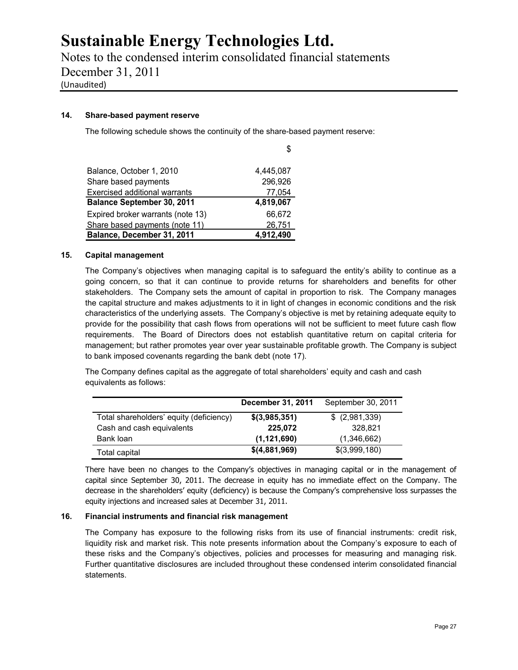Notes to the condensed interim consolidated financial statements December 31, 2011 (Unaudited)

### **14. Share-based payment reserve**

The following schedule shows the continuity of the share-based payment reserve:

|                                      | S         |
|--------------------------------------|-----------|
|                                      |           |
| Balance, October 1, 2010             | 4,445,087 |
| Share based payments                 | 296,926   |
| <b>Exercised additional warrants</b> | 77,054    |
| <b>Balance September 30, 2011</b>    | 4,819,067 |
| Expired broker warrants (note 13)    | 66,672    |
| Share based payments (note 11)       | 26,751    |
| Balance, December 31, 2011           | 4,912,490 |

### **15. Capital management**

The Company's objectives when managing capital is to safeguard the entity's ability to continue as a going concern, so that it can continue to provide returns for shareholders and benefits for other stakeholders. The Company sets the amount of capital in proportion to risk. The Company manages the capital structure and makes adjustments to it in light of changes in economic conditions and the risk characteristics of the underlying assets. The Company's objective is met by retaining adequate equity to provide for the possibility that cash flows from operations will not be sufficient to meet future cash flow requirements. The Board of Directors does not establish quantitative return on capital criteria for management; but rather promotes year over year sustainable profitable growth. The Company is subject to bank imposed covenants regarding the bank debt (note 17).

The Company defines capital as the aggregate of total shareholders' equity and cash and cash equivalents as follows:

|                                         | December 31, 2011 | September 30, 2011 |
|-----------------------------------------|-------------------|--------------------|
| Total shareholders' equity (deficiency) | \$(3,985,351)     | \$ (2,981,339)     |
| Cash and cash equivalents               | 225.072           | 328.821            |
| Bank loan                               | (1, 121, 690)     | (1,346,662)        |
| Total capital                           | \$(4,881,969)     | \$(3,999,180)      |

There have been no changes to the Company's objectives in managing capital or in the management of capital since September 30, 2011. The decrease in equity has no immediate effect on the Company. The decrease in the shareholders' equity (deficiency) is because the Company's comprehensive loss surpasses the equity injections and increased sales at December 31, 2011.

### **16. Financial instruments and financial risk management**

The Company has exposure to the following risks from its use of financial instruments: credit risk, liquidity risk and market risk. This note presents information about the Company's exposure to each of these risks and the Company's objectives, policies and processes for measuring and managing risk. Further quantitative disclosures are included throughout these condensed interim consolidated financial statements.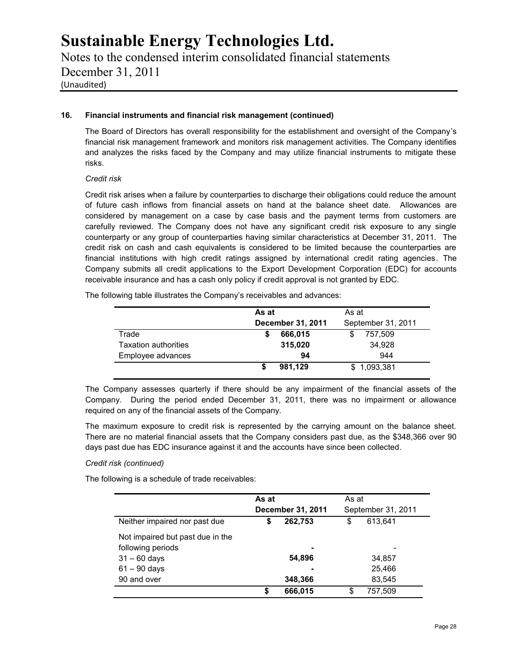Notes to the condensed interim consolidated financial statements December 31, 2011 (Unaudited)

### **16. Financial instruments and financial risk management (continued)**

The Board of Directors has overall responsibility for the establishment and oversight of the Company's financial risk management framework and monitors risk management activities. The Company identifies and analyzes the risks faced by the Company and may utilize financial instruments to mitigate these risks.

### *Credit risk*

Credit risk arises when a failure by counterparties to discharge their obligations could reduce the amount of future cash inflows from financial assets on hand at the balance sheet date. Allowances are considered by management on a case by case basis and the payment terms from customers are carefully reviewed. The Company does not have any significant credit risk exposure to any single counterparty or any group of counterparties having similar characteristics at December 31, 2011. The credit risk on cash and cash equivalents is considered to be limited because the counterparties are financial institutions with high credit ratings assigned by international credit rating agencies. The Company submits all credit applications to the Export Development Corporation (EDC) for accounts receivable insurance and has a cash only policy if credit approval is not granted by EDC.

The following table illustrates the Company's receivables and advances:

|                             | As at             | As at              |  |
|-----------------------------|-------------------|--------------------|--|
|                             | December 31, 2011 | September 31, 2011 |  |
| Trade                       | 666,015           | 757.509            |  |
| <b>Taxation authorities</b> | 315,020           | 34,928             |  |
| Employee advances           | 94                | 944                |  |
|                             | 981.129           | \$1,093,381        |  |

The Company assesses quarterly if there should be any impairment of the financial assets of the Company. During the period ended December 31, 2011, there was no impairment or allowance required on any of the financial assets of the Company.

The maximum exposure to credit risk is represented by the carrying amount on the balance sheet. There are no material financial assets that the Company considers past due, as the \$348,366 over 90 days past due has EDC insurance against it and the accounts have since been collected.

### *Credit risk (continued)*

The following is a schedule of trade receivables:

|                                  |    | As at<br>December 31, 2011 |    | As at<br>September 31, 2011 |  |
|----------------------------------|----|----------------------------|----|-----------------------------|--|
| Neither impaired nor past due    | \$ | 262,753                    | \$ | 613.641                     |  |
| Not impaired but past due in the |    |                            |    |                             |  |
| following periods                |    | ٠                          |    | -                           |  |
| $31 - 60$ days                   |    | 54,896                     |    | 34,857                      |  |
| $61 - 90$ days                   |    | ٠                          |    | 25,466                      |  |
| 90 and over                      |    | 348,366                    |    | 83,545                      |  |
|                                  | S  | 666,015                    | \$ | 757,509                     |  |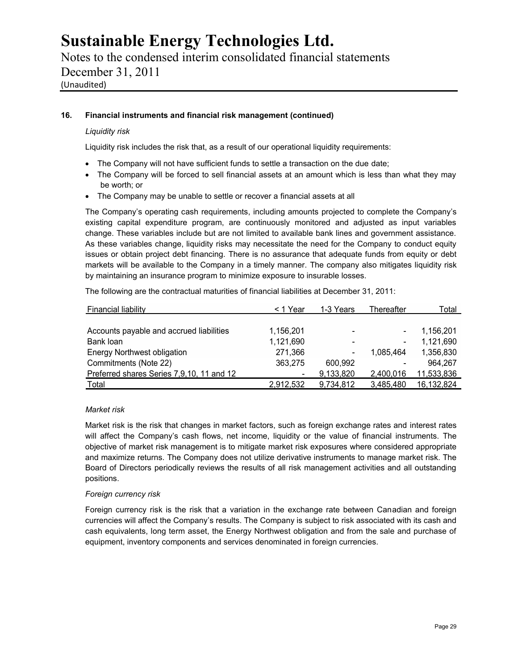Notes to the condensed interim consolidated financial statements December 31, 2011 (Unaudited)

### **16. Financial instruments and financial risk management (continued)**

### *Liquidity risk*

Liquidity risk includes the risk that, as a result of our operational liquidity requirements:

- The Company will not have sufficient funds to settle a transaction on the due date;
- The Company will be forced to sell financial assets at an amount which is less than what they may be worth; or
- The Company may be unable to settle or recover a financial assets at all

The Company's operating cash requirements, including amounts projected to complete the Company's existing capital expenditure program, are continuously monitored and adjusted as input variables change. These variables include but are not limited to available bank lines and government assistance. As these variables change, liquidity risks may necessitate the need for the Company to conduct equity issues or obtain project debt financing. There is no assurance that adequate funds from equity or debt markets will be available to the Company in a timely manner. The company also mitigates liquidity risk by maintaining an insurance program to minimize exposure to insurable losses.

The following are the contractual maturities of financial liabilities at December 31, 2011:

| <b>Financial liability</b>                | < 1 Year       | 1-3 Years                | Thereafter | Total      |
|-------------------------------------------|----------------|--------------------------|------------|------------|
|                                           |                |                          |            |            |
| Accounts payable and accrued liabilities  | 1,156,201      | $\overline{\phantom{0}}$ |            | 1,156,201  |
| Bank loan                                 | 1,121,690      |                          |            | 1,121,690  |
| <b>Energy Northwest obligation</b>        | 271,366        | $\blacksquare$           | 1.085.464  | 1,356,830  |
| Commitments (Note 22)                     | 363,275        | 600.992                  |            | 964,267    |
| Preferred shares Series 7,9,10, 11 and 12 | $\blacksquare$ | 9,133,820                | 2,400,016  | 11,533,836 |
| Total                                     | 2.912.532      | 9,734,812                | 3,485,480  | 16,132,824 |

### *Market risk*

Market risk is the risk that changes in market factors, such as foreign exchange rates and interest rates will affect the Company's cash flows, net income, liquidity or the value of financial instruments. The objective of market risk management is to mitigate market risk exposures where considered appropriate and maximize returns. The Company does not utilize derivative instruments to manage market risk. The Board of Directors periodically reviews the results of all risk management activities and all outstanding positions.

### *Foreign currency risk*

Foreign currency risk is the risk that a variation in the exchange rate between Canadian and foreign currencies will affect the Company's results. The Company is subject to risk associated with its cash and cash equivalents, long term asset, the Energy Northwest obligation and from the sale and purchase of equipment, inventory components and services denominated in foreign currencies.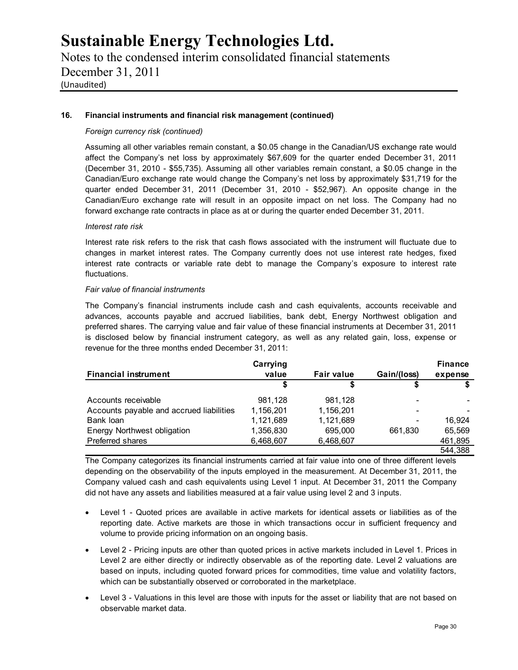Notes to the condensed interim consolidated financial statements December 31, 2011 (Unaudited)

### **16. Financial instruments and financial risk management (continued)**

### *Foreign currency risk (continued)*

Assuming all other variables remain constant, a \$0.05 change in the Canadian/US exchange rate would affect the Company's net loss by approximately \$67,609 for the quarter ended December 31, 2011 (December 31, 2010 - \$55,735). Assuming all other variables remain constant, a \$0.05 change in the Canadian/Euro exchange rate would change the Company's net loss by approximately \$31,719 for the quarter ended December 31, 2011 (December 31, 2010 - \$52,967). An opposite change in the Canadian/Euro exchange rate will result in an opposite impact on net loss. The Company had no forward exchange rate contracts in place as at or during the quarter ended December 31, 2011.

### *Interest rate risk*

Interest rate risk refers to the risk that cash flows associated with the instrument will fluctuate due to changes in market interest rates. The Company currently does not use interest rate hedges, fixed interest rate contracts or variable rate debt to manage the Company's exposure to interest rate fluctuations.

### *Fair value of financial instruments*

The Company's financial instruments include cash and cash equivalents, accounts receivable and advances, accounts payable and accrued liabilities, bank debt, Energy Northwest obligation and preferred shares. The carrying value and fair value of these financial instruments at December 31, 2011 is disclosed below by financial instrument category, as well as any related gain, loss, expense or revenue for the three months ended December 31, 2011:

|                                          | Carrying  |                   |             | <b>Finance</b> |
|------------------------------------------|-----------|-------------------|-------------|----------------|
| <b>Financial instrument</b>              | value     | <b>Fair value</b> | Gain/(loss) | expense        |
|                                          |           |                   |             |                |
| Accounts receivable                      | 981,128   | 981,128           |             |                |
| Accounts payable and accrued liabilities | 1,156,201 | 1,156,201         |             |                |
| Bank loan                                | 1,121,689 | 1,121,689         |             | 16.924         |
| Energy Northwest obligation              | 1,356,830 | 695,000           | 661.830     | 65,569         |
| Preferred shares                         | 6,468,607 | 6,468,607         |             | 461,895        |
|                                          |           |                   |             | 544,388        |

The Company categorizes its financial instruments carried at fair value into one of three different levels depending on the observability of the inputs employed in the measurement. At December 31, 2011, the Company valued cash and cash equivalents using Level 1 input. At December 31, 2011 the Company did not have any assets and liabilities measured at a fair value using level 2 and 3 inputs.

- Level 1 Quoted prices are available in active markets for identical assets or liabilities as of the reporting date. Active markets are those in which transactions occur in sufficient frequency and volume to provide pricing information on an ongoing basis.
- Level 2 Pricing inputs are other than quoted prices in active markets included in Level 1. Prices in Level 2 are either directly or indirectly observable as of the reporting date. Level 2 valuations are based on inputs, including quoted forward prices for commodities, time value and volatility factors, which can be substantially observed or corroborated in the marketplace.
- Level 3 Valuations in this level are those with inputs for the asset or liability that are not based on observable market data.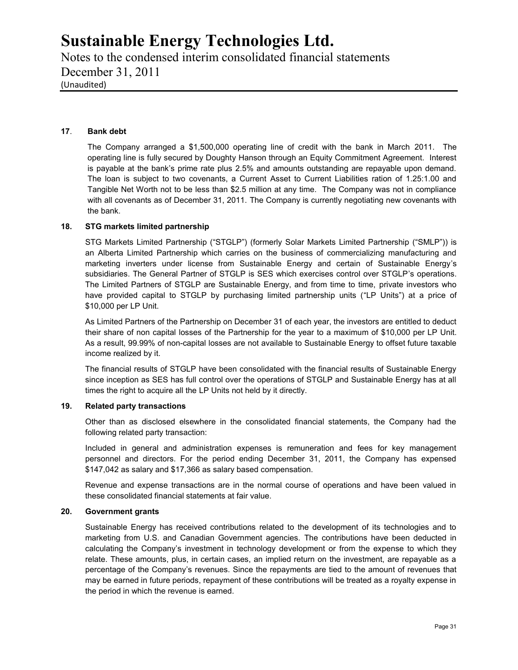Notes to the condensed interim consolidated financial statements December 31, 2011 (Unaudited)

### **17**. **Bank debt**

The Company arranged a \$1,500,000 operating line of credit with the bank in March 2011. The operating line is fully secured by Doughty Hanson through an Equity Commitment Agreement. Interest is payable at the bank's prime rate plus 2.5% and amounts outstanding are repayable upon demand. The loan is subject to two covenants, a Current Asset to Current Liabilities ration of 1.25:1.00 and Tangible Net Worth not to be less than \$2.5 million at any time. The Company was not in compliance with all covenants as of December 31, 2011. The Company is currently negotiating new covenants with the bank.

### **18. STG markets limited partnership**

STG Markets Limited Partnership ("STGLP") (formerly Solar Markets Limited Partnership ("SMLP")) is an Alberta Limited Partnership which carries on the business of commercializing manufacturing and marketing inverters under license from Sustainable Energy and certain of Sustainable Energy's subsidiaries. The General Partner of STGLP is SES which exercises control over STGLP's operations. The Limited Partners of STGLP are Sustainable Energy, and from time to time, private investors who have provided capital to STGLP by purchasing limited partnership units ("LP Units") at a price of \$10,000 per LP Unit.

As Limited Partners of the Partnership on December 31 of each year, the investors are entitled to deduct their share of non capital losses of the Partnership for the year to a maximum of \$10,000 per LP Unit. As a result, 99.99% of non-capital losses are not available to Sustainable Energy to offset future taxable income realized by it.

The financial results of STGLP have been consolidated with the financial results of Sustainable Energy since inception as SES has full control over the operations of STGLP and Sustainable Energy has at all times the right to acquire all the LP Units not held by it directly.

### **19. Related party transactions**

Other than as disclosed elsewhere in the consolidated financial statements, the Company had the following related party transaction:

Included in general and administration expenses is remuneration and fees for key management personnel and directors. For the period ending December 31, 2011, the Company has expensed \$147,042 as salary and \$17,366 as salary based compensation.

Revenue and expense transactions are in the normal course of operations and have been valued in these consolidated financial statements at fair value.

#### **20. Government grants**

Sustainable Energy has received contributions related to the development of its technologies and to marketing from U.S. and Canadian Government agencies. The contributions have been deducted in calculating the Company's investment in technology development or from the expense to which they relate. These amounts, plus, in certain cases, an implied return on the investment, are repayable as a percentage of the Company's revenues. Since the repayments are tied to the amount of revenues that may be earned in future periods, repayment of these contributions will be treated as a royalty expense in the period in which the revenue is earned.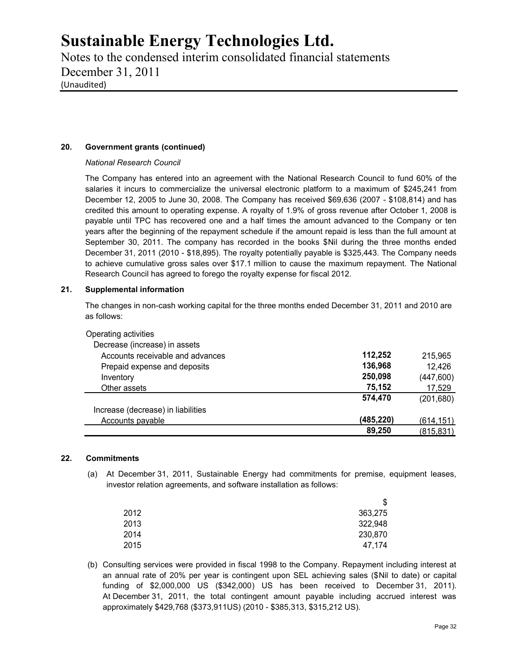Notes to the condensed interim consolidated financial statements December 31, 2011 (Unaudited)

### **20. Government grants (continued)**

### *National Research Council*

The Company has entered into an agreement with the National Research Council to fund 60% of the salaries it incurs to commercialize the universal electronic platform to a maximum of \$245,241 from December 12, 2005 to June 30, 2008. The Company has received \$69,636 (2007 - \$108,814) and has credited this amount to operating expense. A royalty of 1.9% of gross revenue after October 1, 2008 is payable until TPC has recovered one and a half times the amount advanced to the Company or ten years after the beginning of the repayment schedule if the amount repaid is less than the full amount at September 30, 2011. The company has recorded in the books \$Nil during the three months ended December 31, 2011 (2010 - \$18,895). The royalty potentially payable is \$325,443. The Company needs to achieve cumulative gross sales over \$17.1 million to cause the maximum repayment. The National Research Council has agreed to forego the royalty expense for fiscal 2012.

### **21. Supplemental information**

The changes in non-cash working capital for the three months ended December 31, 2011 and 2010 are as follows:

| Operating activities               |           |            |
|------------------------------------|-----------|------------|
| Decrease (increase) in assets      |           |            |
| Accounts receivable and advances   | 112,252   | 215,965    |
| Prepaid expense and deposits       | 136,968   | 12,426     |
| Inventory                          | 250,098   | (447, 600) |
| Other assets                       | 75,152    | 17,529     |
|                                    | 574.470   | (201, 680) |
| Increase (decrease) in liabilities |           |            |
| Accounts payable                   | (485,220) | (614, 151) |
|                                    | 89,250    | (815, 831) |

### **22. Commitments**

(a) At December 31, 2011, Sustainable Energy had commitments for premise, equipment leases, investor relation agreements, and software installation as follows:

|      | \$      |
|------|---------|
| 2012 | 363,275 |
| 2013 | 322,948 |
| 2014 | 230,870 |
| 2015 | 47,174  |
|      |         |

(b) Consulting services were provided in fiscal 1998 to the Company. Repayment including interest at an annual rate of 20% per year is contingent upon SEL achieving sales (\$Nil to date) or capital funding of \$2,000,000 US (\$342,000) US has been received to December 31, 2011). At December 31, 2011, the total contingent amount payable including accrued interest was approximately \$429,768 (\$373,911US) (2010 - \$385,313, \$315,212 US).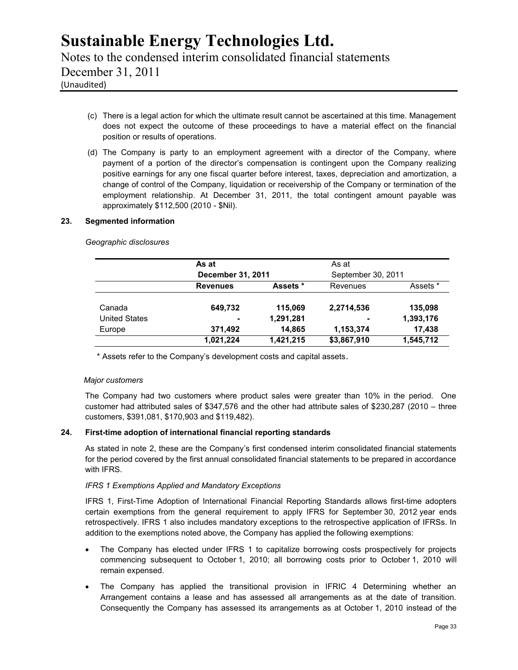Notes to the condensed interim consolidated financial statements December 31, 2011 (Unaudited)

- (c) There is a legal action for which the ultimate result cannot be ascertained at this time. Management does not expect the outcome of these proceedings to have a material effect on the financial position or results of operations.
- (d) The Company is party to an employment agreement with a director of the Company, where payment of a portion of the director's compensation is contingent upon the Company realizing positive earnings for any one fiscal quarter before interest, taxes, depreciation and amortization, a change of control of the Company, liquidation or receivership of the Company or termination of the employment relationship. At December 31, 2011, the total contingent amount payable was approximately \$112,500 (2010 - \$Nil).

### **23. Segmented information**

*Geographic disclosures*

|                      | As at           |                   | As at       |                    |
|----------------------|-----------------|-------------------|-------------|--------------------|
|                      |                 | December 31, 2011 |             | September 30, 2011 |
|                      | <b>Revenues</b> | Assets *          | Revenues    | Assets *           |
| Canada               | 649,732         | 115,069           | 2,2714,536  | 135,098            |
| <b>United States</b> | ٠               | 1,291,281         | ٠           | 1,393,176          |
| Europe               | 371,492         | 14,865            | 1,153,374   | 17,438             |
|                      | 1,021,224       | 1,421,215         | \$3,867,910 | 1,545,712          |

\* Assets refer to the Company's development costs and capital assets.

### *Major customers*

The Company had two customers where product sales were greater than 10% in the period. One customer had attributed sales of \$347,576 and the other had attribute sales of \$230,287 (2010 – three customers, \$391,081, \$170,903 and \$119,482).

### **24. First-time adoption of international financial reporting standards**

As stated in note 2, these are the Company's first condensed interim consolidated financial statements for the period covered by the first annual consolidated financial statements to be prepared in accordance with IFRS.

### *IFRS 1 Exemptions Applied and Mandatory Exceptions*

IFRS 1, First-Time Adoption of International Financial Reporting Standards allows first-time adopters certain exemptions from the general requirement to apply IFRS for September 30, 2012 year ends retrospectively. IFRS 1 also includes mandatory exceptions to the retrospective application of IFRSs. In addition to the exemptions noted above, the Company has applied the following exemptions:

- The Company has elected under IFRS 1 to capitalize borrowing costs prospectively for projects commencing subsequent to October 1, 2010; all borrowing costs prior to October 1, 2010 will remain expensed.
- The Company has applied the transitional provision in IFRIC 4 Determining whether an Arrangement contains a lease and has assessed all arrangements as at the date of transition. Consequently the Company has assessed its arrangements as at October 1, 2010 instead of the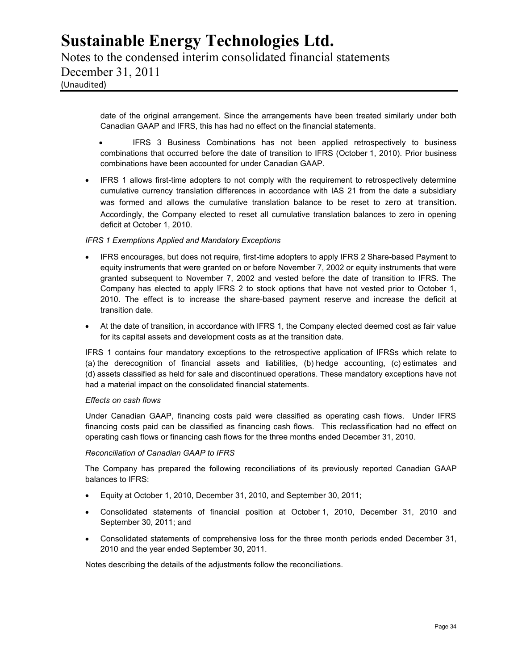Notes to the condensed interim consolidated financial statements December 31, 2011 (Unaudited)

> date of the original arrangement. Since the arrangements have been treated similarly under both Canadian GAAP and IFRS, this has had no effect on the financial statements.

- IFRS 3 Business Combinations has not been applied retrospectively to business combinations that occurred before the date of transition to IFRS (October 1, 2010). Prior business combinations have been accounted for under Canadian GAAP.
- IFRS 1 allows first-time adopters to not comply with the requirement to retrospectively determine cumulative currency translation differences in accordance with IAS 21 from the date a subsidiary was formed and allows the cumulative translation balance to be reset to zero at transition. Accordingly, the Company elected to reset all cumulative translation balances to zero in opening deficit at October 1, 2010.

### *IFRS 1 Exemptions Applied and Mandatory Exceptions*

- IFRS encourages, but does not require, first-time adopters to apply IFRS 2 Share-based Payment to equity instruments that were granted on or before November 7, 2002 or equity instruments that were granted subsequent to November 7, 2002 and vested before the date of transition to IFRS. The Company has elected to apply IFRS 2 to stock options that have not vested prior to October 1, 2010. The effect is to increase the share-based payment reserve and increase the deficit at transition date.
- At the date of transition, in accordance with IFRS 1, the Company elected deemed cost as fair value for its capital assets and development costs as at the transition date.

IFRS 1 contains four mandatory exceptions to the retrospective application of IFRSs which relate to (a) the derecognition of financial assets and liabilities, (b) hedge accounting, (c) estimates and (d) assets classified as held for sale and discontinued operations. These mandatory exceptions have not had a material impact on the consolidated financial statements.

### *Effects on cash flows*

Under Canadian GAAP, financing costs paid were classified as operating cash flows. Under IFRS financing costs paid can be classified as financing cash flows. This reclassification had no effect on operating cash flows or financing cash flows for the three months ended December 31, 2010.

#### *Reconciliation of Canadian GAAP to IFRS*

The Company has prepared the following reconciliations of its previously reported Canadian GAAP balances to IFRS:

- Equity at October 1, 2010, December 31, 2010, and September 30, 2011;
- Consolidated statements of financial position at October 1, 2010, December 31, 2010 and September 30, 2011; and
- Consolidated statements of comprehensive loss for the three month periods ended December 31, 2010 and the year ended September 30, 2011.

Notes describing the details of the adjustments follow the reconciliations.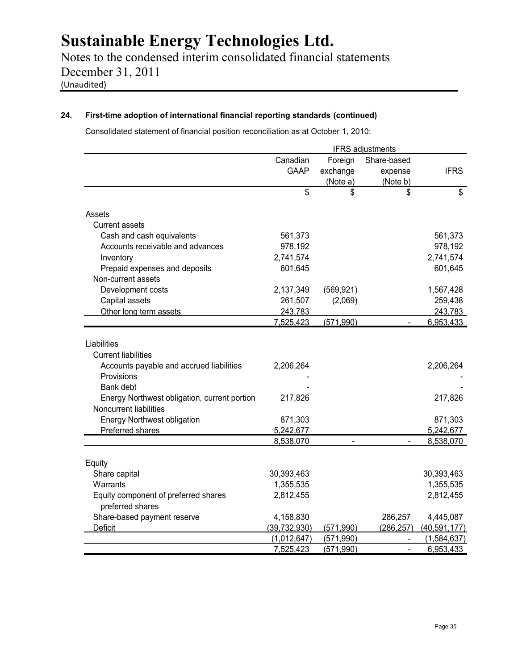Notes to the condensed interim consolidated financial statements December 31, 2011 (Unaudited)

### **24. First-time adoption of international financial reporting standards (continued)**

Consolidated statement of financial position reconciliation as at October 1, 2010:

|                                                                        |                |                | <b>IFRS</b> adjustments |                |
|------------------------------------------------------------------------|----------------|----------------|-------------------------|----------------|
|                                                                        | Canadian       | Foreign        | Share-based             |                |
|                                                                        | <b>GAAP</b>    | exchange       | expense                 | <b>IFRS</b>    |
|                                                                        |                | (Note a)       | (Note b)                |                |
|                                                                        | \$             | \$             | \$                      | \$             |
| Assets                                                                 |                |                |                         |                |
| <b>Current assets</b>                                                  |                |                |                         |                |
| Cash and cash equivalents                                              | 561,373        |                |                         | 561,373        |
| Accounts receivable and advances                                       | 978,192        |                |                         | 978,192        |
| Inventory                                                              | 2,741,574      |                |                         | 2,741,574      |
| Prepaid expenses and deposits                                          | 601,645        |                |                         | 601,645        |
| Non-current assets                                                     |                |                |                         |                |
| Development costs                                                      | 2,137,349      | (569, 921)     |                         | 1,567,428      |
| Capital assets                                                         | 261,507        | (2,069)        |                         | 259,438        |
| Other long term assets                                                 | 243,783        |                |                         | 243,783        |
|                                                                        | 7,525,423      | (571,990)      |                         | 6,953,433      |
| Liabilities                                                            |                |                |                         |                |
| <b>Current liabilities</b>                                             |                |                |                         |                |
| Accounts payable and accrued liabilities                               | 2,206,264      |                |                         | 2,206,264      |
| Provisions                                                             |                |                |                         |                |
| Bank debt                                                              |                |                |                         |                |
|                                                                        | 217,826        |                |                         | 217,826        |
| Energy Northwest obligation, current portion<br>Noncurrent liabilities |                |                |                         |                |
|                                                                        |                |                |                         |                |
| <b>Energy Northwest obligation</b>                                     | 871,303        |                |                         | 871,303        |
| Preferred shares                                                       | 5,242,677      |                |                         | 5,242,677      |
|                                                                        | 8,538,070      | $\overline{a}$ | $\overline{a}$          | 8,538,070      |
| Equity                                                                 |                |                |                         |                |
| Share capital                                                          | 30,393,463     |                |                         | 30,393,463     |
| Warrants                                                               | 1,355,535      |                |                         | 1,355,535      |
| Equity component of preferred shares                                   | 2,812,455      |                |                         | 2,812,455      |
| preferred shares                                                       |                |                |                         |                |
| Share-based payment reserve                                            | 4,158,830      |                | 286,257                 | 4,445,087      |
| Deficit                                                                | (39, 732, 930) | (571, 990)     | (286, 257)              | (40, 591, 177) |
|                                                                        | (1,012,647)    | (571, 990)     |                         | (1,584,637)    |
|                                                                        | 7,525,423      | (571,990)      | $\overline{a}$          | 6,953,433      |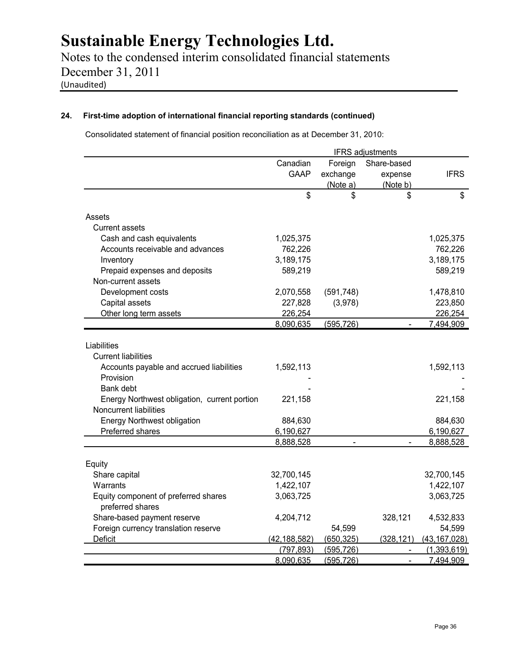Notes to the condensed interim consolidated financial statements December 31, 2011 (Unaudited)

### **24. First-time adoption of international financial reporting standards (continued)**

Consolidated statement of financial position reconciliation as at December 31, 2010:

|                                                                                                    | <b>IFRS</b> adjustments |            |                |                |
|----------------------------------------------------------------------------------------------------|-------------------------|------------|----------------|----------------|
|                                                                                                    | Canadian                | Foreign    | Share-based    |                |
|                                                                                                    | <b>GAAP</b>             | exchange   | expense        | <b>IFRS</b>    |
|                                                                                                    |                         | (Note a)   | (Note b)       |                |
|                                                                                                    | \$                      | \$         | \$             | \$             |
| Assets                                                                                             |                         |            |                |                |
| <b>Current assets</b>                                                                              |                         |            |                |                |
| Cash and cash equivalents                                                                          | 1,025,375               |            |                | 1,025,375      |
| Accounts receivable and advances                                                                   | 762,226                 |            |                | 762,226        |
| Inventory                                                                                          | 3,189,175               |            |                | 3,189,175      |
| Prepaid expenses and deposits                                                                      | 589,219                 |            |                | 589,219        |
| Non-current assets                                                                                 |                         |            |                |                |
| Development costs                                                                                  | 2,070,558               | (591, 748) |                | 1,478,810      |
| Capital assets                                                                                     | 227,828                 | (3,978)    |                | 223,850        |
| Other long term assets                                                                             | 226,254                 |            |                | 226,254        |
|                                                                                                    | 8,090,635               | (595, 726) |                | 7,494,909      |
| Liabilities<br><b>Current liabilities</b><br>Accounts payable and accrued liabilities<br>Provision | 1,592,113               |            |                | 1,592,113      |
| Bank debt                                                                                          |                         |            |                |                |
| Energy Northwest obligation, current portion<br>Noncurrent liabilities                             | 221,158                 |            |                | 221,158        |
| <b>Energy Northwest obligation</b>                                                                 | 884,630                 |            |                | 884,630        |
| Preferred shares                                                                                   | 6,190,627               |            |                | 6,190,627      |
|                                                                                                    | 8,888,528               |            |                | 8,888,528      |
|                                                                                                    |                         |            |                |                |
| Equity                                                                                             |                         |            |                |                |
| Share capital                                                                                      | 32,700,145              |            |                | 32,700,145     |
| Warrants                                                                                           | 1,422,107               |            |                | 1,422,107      |
| Equity component of preferred shares<br>preferred shares                                           | 3,063,725               |            |                | 3,063,725      |
| Share-based payment reserve                                                                        | 4,204,712               |            | 328,121        | 4,532,833      |
| Foreign currency translation reserve                                                               |                         | 54,599     |                | 54,599         |
| Deficit                                                                                            | (42, 188, 582)          | (650, 325) | (328, 121)     | (43, 167, 028) |
|                                                                                                    | (797, 893)              | (595, 726) | $\blacksquare$ | (1,393,619)    |
|                                                                                                    | 8,090,635               | (595, 726) | $\blacksquare$ | 7,494,909      |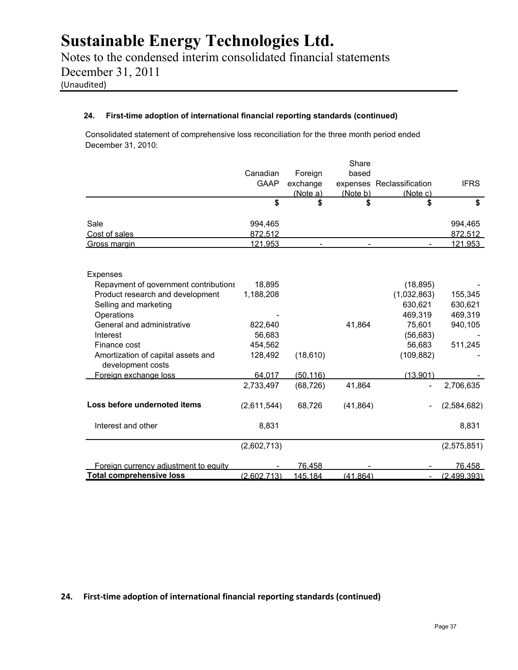Notes to the condensed interim consolidated financial statements December 31, 2011 (Unaudited)

### **24. First-time adoption of international financial reporting standards (continued)**

Consolidated statement of comprehensive loss reconciliation for the three month period ended December 31, 2010:

|                                                         |             |           | Share     |                           |               |
|---------------------------------------------------------|-------------|-----------|-----------|---------------------------|---------------|
|                                                         | Canadian    | Foreign   | based     |                           |               |
|                                                         | <b>GAAP</b> | exchange  |           | expenses Reclassification | <b>IFRS</b>   |
|                                                         |             | (Note a)  | (Note b)  | (Note c)                  |               |
|                                                         | \$          | \$        |           | \$                        | \$            |
| Sale                                                    | 994,465     |           |           |                           | 994,465       |
| Cost of sales                                           | 872.512     |           |           |                           | 872.512       |
| Gross margin                                            | 121,953     |           |           |                           | 121,953       |
| <b>Expenses</b>                                         |             |           |           |                           |               |
| Repayment of government contributions                   | 18,895      |           |           | (18, 895)                 |               |
| Product research and development                        | 1,188,208   |           |           | (1,032,863)               | 155,345       |
| Selling and marketing                                   |             |           |           | 630,621                   | 630,621       |
| Operations                                              |             |           |           | 469,319                   | 469,319       |
| General and administrative                              | 822,640     |           | 41,864    | 75,601                    | 940,105       |
| Interest                                                | 56,683      |           |           | (56, 683)                 |               |
| Finance cost                                            | 454,562     |           |           | 56,683                    | 511,245       |
| Amortization of capital assets and<br>development costs | 128,492     | (18, 610) |           | (109, 882)                |               |
| Foreign exchange loss                                   | 64.017      | (50.116)  |           | (13.901)                  |               |
|                                                         | 2,733,497   | (68, 726) | 41,864    | ۰                         | 2,706,635     |
| Loss before undernoted items                            | (2,611,544) | 68,726    | (41, 864) |                           | (2,584,682)   |
| Interest and other                                      | 8,831       |           |           |                           | 8,831         |
|                                                         | (2,602,713) |           |           |                           | (2,575,851)   |
| Foreign currency adjustment to equity                   |             | 76,458    |           |                           | <u>76,458</u> |
| <b>Total comprehensive loss</b>                         | (2.602.713) | 145.184   | (41.864)  |                           | (2.499.393)   |

**24. First-time adoption of international financial reporting standards (continued)**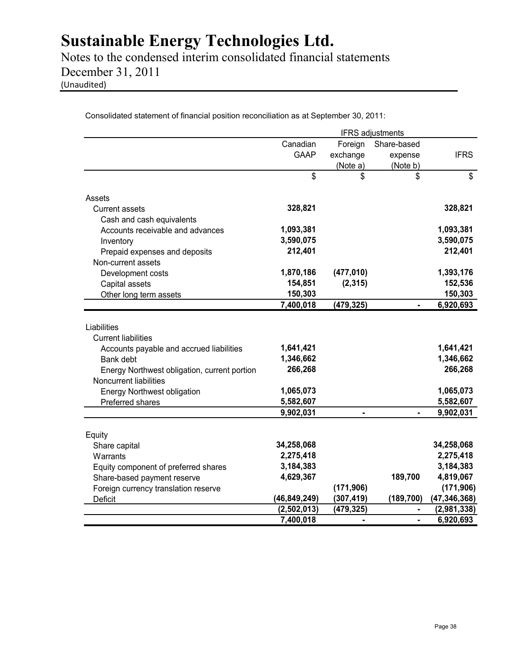Notes to the condensed interim consolidated financial statements December 31, 2011 (Unaudited)

Consolidated statement of financial position reconciliation as at September 30, 2011:

|                                                                                                                                                                                                                  | <b>IFRS</b> adjustments                                     |               |                |                                                             |  |  |
|------------------------------------------------------------------------------------------------------------------------------------------------------------------------------------------------------------------|-------------------------------------------------------------|---------------|----------------|-------------------------------------------------------------|--|--|
|                                                                                                                                                                                                                  | Canadian                                                    | Foreign       | Share-based    |                                                             |  |  |
|                                                                                                                                                                                                                  | <b>GAAP</b>                                                 | exchange      | expense        | <b>IFRS</b>                                                 |  |  |
|                                                                                                                                                                                                                  |                                                             | (Note a)      | (Note b)       |                                                             |  |  |
|                                                                                                                                                                                                                  | \$                                                          | \$            | \$             | \$                                                          |  |  |
| Assets                                                                                                                                                                                                           |                                                             |               |                |                                                             |  |  |
| <b>Current assets</b>                                                                                                                                                                                            | 328,821                                                     |               |                | 328,821                                                     |  |  |
| Cash and cash equivalents                                                                                                                                                                                        |                                                             |               |                |                                                             |  |  |
| Accounts receivable and advances                                                                                                                                                                                 | 1,093,381                                                   |               |                | 1,093,381                                                   |  |  |
| Inventory                                                                                                                                                                                                        | 3,590,075                                                   |               |                | 3,590,075                                                   |  |  |
| Prepaid expenses and deposits                                                                                                                                                                                    | 212,401                                                     |               |                | 212,401                                                     |  |  |
| Non-current assets                                                                                                                                                                                               |                                                             |               |                |                                                             |  |  |
| Development costs                                                                                                                                                                                                | 1,870,186                                                   | (477, 010)    |                | 1,393,176                                                   |  |  |
| Capital assets                                                                                                                                                                                                   | 154,851                                                     | (2, 315)      |                | 152,536                                                     |  |  |
| Other long term assets                                                                                                                                                                                           | 150,303                                                     |               |                | 150,303                                                     |  |  |
|                                                                                                                                                                                                                  | 7,400,018                                                   | (479, 325)    |                | 6,920,693                                                   |  |  |
| <b>Current liabilities</b><br>Accounts payable and accrued liabilities<br>Bank debt<br>Energy Northwest obligation, current portion<br>Noncurrent liabilities<br>Energy Northwest obligation<br>Preferred shares | 1,641,421<br>1,346,662<br>266,268<br>1,065,073<br>5,582,607 |               |                | 1,641,421<br>1,346,662<br>266,268<br>1,065,073<br>5,582,607 |  |  |
|                                                                                                                                                                                                                  | 9,902,031                                                   | $\frac{1}{2}$ | $\blacksquare$ | 9,902,031                                                   |  |  |
| Equity                                                                                                                                                                                                           |                                                             |               |                |                                                             |  |  |
| Share capital                                                                                                                                                                                                    | 34,258,068                                                  |               |                | 34,258,068                                                  |  |  |
| Warrants                                                                                                                                                                                                         | 2,275,418                                                   |               |                | 2,275,418                                                   |  |  |
| Equity component of preferred shares                                                                                                                                                                             | 3,184,383                                                   |               |                | 3,184,383                                                   |  |  |
| Share-based payment reserve                                                                                                                                                                                      | 4,629,367                                                   |               | 189,700        | 4,819,067                                                   |  |  |
| Foreign currency translation reserve                                                                                                                                                                             |                                                             | (171, 906)    |                | (171, 906)                                                  |  |  |
| <b>Deficit</b>                                                                                                                                                                                                   | (46, 849, 249)                                              | (307, 419)    | (189, 700)     | (47, 346, 368)                                              |  |  |
|                                                                                                                                                                                                                  | (2,502,013)                                                 | (479, 325)    |                | (2,981,338)                                                 |  |  |
|                                                                                                                                                                                                                  | 7,400,018                                                   | ä,            | ä,             | 6,920,693                                                   |  |  |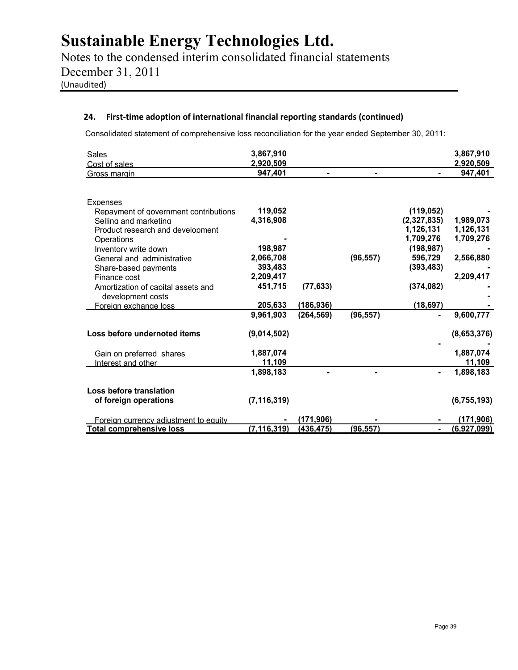Notes to the condensed interim consolidated financial statements December 31, 2011 (Unaudited)

### **24. First-time adoption of international financial reporting standards (continued)**

Consolidated statement of comprehensive loss reconciliation for the year ended September 30, 2011:

| <b>Sales</b>                                            | 3,867,910     |            |           |             | 3,867,910     |
|---------------------------------------------------------|---------------|------------|-----------|-------------|---------------|
| Cost of sales                                           | 2,920,509     |            |           |             | 2,920,509     |
| Gross margin                                            | 947,401       |            |           |             | 947,401       |
|                                                         |               |            |           |             |               |
| Expenses                                                |               |            |           |             |               |
| Repayment of government contributions                   | 119,052       |            |           | (119, 052)  |               |
| Selling and marketing                                   | 4,316,908     |            |           | (2,327,835) | 1,989,073     |
| Product research and development                        |               |            |           | 1,126,131   | 1,126,131     |
| Operations                                              |               |            |           | 1,709,276   | 1,709,276     |
| Inventory write down                                    | 198,987       |            |           | (198, 987)  |               |
| General and administrative                              | 2,066,708     |            | (96, 557) | 596,729     | 2,566,880     |
| Share-based payments                                    | 393,483       |            |           | (393, 483)  |               |
| Finance cost                                            | 2,209,417     |            |           |             | 2,209,417     |
| Amortization of capital assets and<br>development costs | 451,715       | (77, 633)  |           | (374, 082)  |               |
| Foreign exchange loss                                   | 205,633       | (186, 936) |           | (18, 697)   |               |
|                                                         | 9,961,903     | (264, 569) | (96, 557) |             | 9,600,777     |
| Loss before undernoted items                            | (9,014,502)   |            |           |             | (8,653,376)   |
| Gain on preferred shares                                | 1,887,074     |            |           |             | 1,887,074     |
| Interest and other                                      | 11,109        |            |           |             | 11,109        |
|                                                         | 1,898,183     |            |           |             | 1,898,183     |
| Loss before translation                                 |               |            |           |             |               |
| of foreign operations                                   | (7, 116, 319) |            |           |             | (6, 755, 193) |
| Foreign currency adjustment to equity                   |               | (171,906)  |           |             | (171, 906)    |
| <b>Total comprehensive loss</b>                         | (7, 116, 319) | (436, 475) | (96, 557) |             | (6,927,099)   |